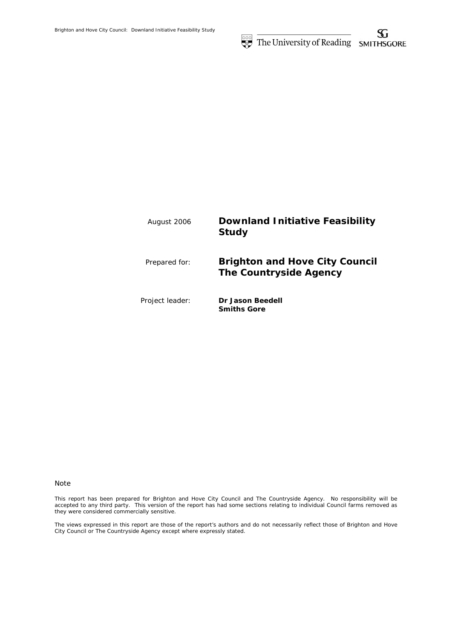

#### Note

This report has been prepared for Brighton and Hove City Council and The Countryside Agency. No responsibility will be accepted to any third party. This version of the report has had some sections relating to individual Council farms removed as they were considered commercially sensitive.

The views expressed in this report are those of the report's authors and do not necessarily reflect those of Brighton and Hove City Council or The Countryside Agency except where expressly stated.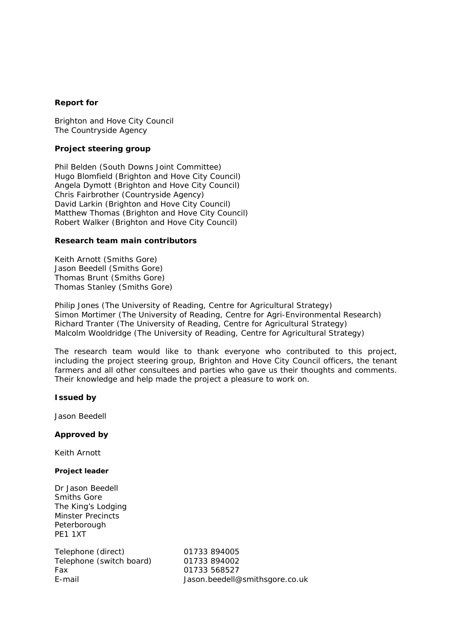# **Report for**

Brighton and Hove City Council The Countryside Agency

# **Project steering group**

Phil Belden (South Downs Joint Committee) Hugo Blomfield (Brighton and Hove City Council) Angela Dymott (Brighton and Hove City Council) Chris Fairbrother (Countryside Agency) David Larkin (Brighton and Hove City Council) Matthew Thomas (Brighton and Hove City Council) Robert Walker (Brighton and Hove City Council)

## **Research team main contributors**

Keith Arnott (Smiths Gore) Jason Beedell (Smiths Gore) Thomas Brunt (Smiths Gore) Thomas Stanley (Smiths Gore)

Philip Jones (The University of Reading, Centre for Agricultural Strategy) Simon Mortimer (The University of Reading, Centre for Agri-Environmental Research) Richard Tranter (The University of Reading, Centre for Agricultural Strategy) Malcolm Wooldridge (The University of Reading, Centre for Agricultural Strategy)

The research team would like to thank everyone who contributed to this project, including the project steering group, Brighton and Hove City Council officers, the tenant farmers and all other consultees and parties who gave us their thoughts and comments. Their knowledge and help made the project a pleasure to work on.

## **Issued by**

Jason Beedell

# **Approved by**

Keith Arnott

## **Project leader**

Dr Jason Beedell Smiths Gore The King's Lodging Minster Precincts **Peterborough** PE1 1XT

Telephone (direct) 01733 894005 Telephone (switch board) 01733 894002 Fax 01733 568527

E-mail Jason.beedell@smithsgore.co.uk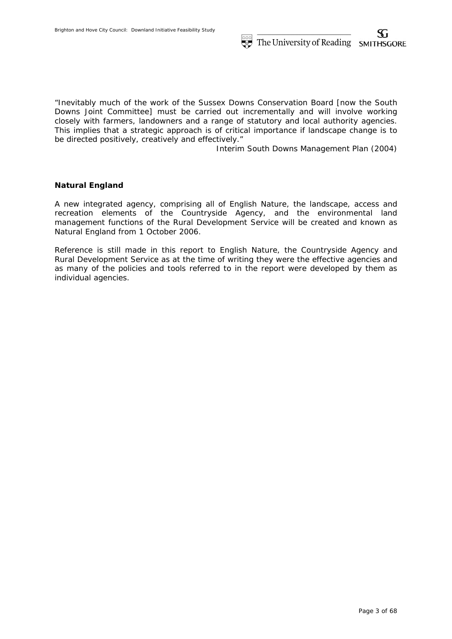"Inevitably much of the work of the Sussex Downs Conservation Board [now the South Downs Joint Committee] must be carried out incrementally and will involve working closely with farmers, landowners and a range of statutory and local authority agencies. This implies that a strategic approach is of critical importance if landscape change is to be directed positively, creatively and effectively."

Interim South Downs Management Plan (2004)

# **Natural England**

A new integrated agency, comprising all of English Nature, the landscape, access and recreation elements of the Countryside Agency, and the environmental land management functions of the Rural Development Service will be created and known as Natural England from 1 October 2006.

Reference is still made in this report to English Nature, the Countryside Agency and Rural Development Service as at the time of writing they were the effective agencies and as many of the policies and tools referred to in the report were developed by them as individual agencies.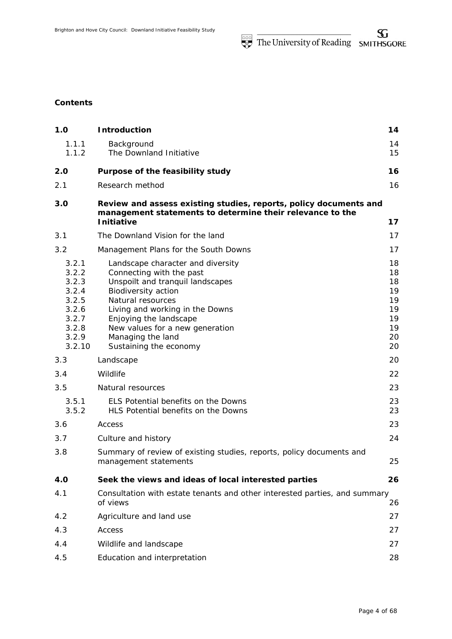# **Contents**

| 1.0                                                                                     | <b>Introduction</b>                                                                                                                                                                                                                                                                          | 14                                                       |
|-----------------------------------------------------------------------------------------|----------------------------------------------------------------------------------------------------------------------------------------------------------------------------------------------------------------------------------------------------------------------------------------------|----------------------------------------------------------|
| 1.1.1<br>1.1.2                                                                          | Background<br>The Downland Initiative                                                                                                                                                                                                                                                        | 14<br>15                                                 |
| 2.0                                                                                     | Purpose of the feasibility study                                                                                                                                                                                                                                                             | 16                                                       |
| 2.1                                                                                     | Research method                                                                                                                                                                                                                                                                              | 16                                                       |
| 3.0                                                                                     | Review and assess existing studies, reports, policy documents and<br>management statements to determine their relevance to the<br><b>Initiative</b>                                                                                                                                          | 17                                                       |
| 3.1                                                                                     | The Downland Vision for the land                                                                                                                                                                                                                                                             | 17                                                       |
| 3.2                                                                                     | Management Plans for the South Downs                                                                                                                                                                                                                                                         | 17                                                       |
| 3.2.1<br>3.2.2<br>3.2.3<br>3.2.4<br>3.2.5<br>3.2.6<br>3.2.7<br>3.2.8<br>3.2.9<br>3.2.10 | Landscape character and diversity<br>Connecting with the past<br>Unspoilt and tranquil landscapes<br>Biodiversity action<br>Natural resources<br>Living and working in the Downs<br>Enjoying the landscape<br>New values for a new generation<br>Managing the land<br>Sustaining the economy | 18<br>18<br>18<br>19<br>19<br>19<br>19<br>19<br>20<br>20 |
| 3.3                                                                                     | Landscape                                                                                                                                                                                                                                                                                    | 20                                                       |
| 3.4                                                                                     | Wildlife                                                                                                                                                                                                                                                                                     | 22                                                       |
| 3.5                                                                                     | Natural resources                                                                                                                                                                                                                                                                            | 23                                                       |
| 3.5.1<br>3.5.2                                                                          | ELS Potential benefits on the Downs<br>HLS Potential benefits on the Downs                                                                                                                                                                                                                   | 23<br>23                                                 |
| 3.6                                                                                     | Access                                                                                                                                                                                                                                                                                       | 23                                                       |
| 3.7                                                                                     | Culture and history                                                                                                                                                                                                                                                                          | 24                                                       |
| 3.8                                                                                     | Summary of review of existing studies, reports, policy documents and<br>management statements                                                                                                                                                                                                | 25                                                       |
| <b>4.0</b>                                                                              | Seek the views and ideas of local interested parties                                                                                                                                                                                                                                         | 26                                                       |
| 4.1                                                                                     | Consultation with estate tenants and other interested parties, and summary<br>of views                                                                                                                                                                                                       | 26                                                       |
| 4.2                                                                                     | Agriculture and land use                                                                                                                                                                                                                                                                     | 27                                                       |
| 4.3                                                                                     | Access                                                                                                                                                                                                                                                                                       | 27                                                       |
| 4.4                                                                                     | Wildlife and landscape                                                                                                                                                                                                                                                                       | 27                                                       |
| 4.5                                                                                     | Education and interpretation                                                                                                                                                                                                                                                                 | 28                                                       |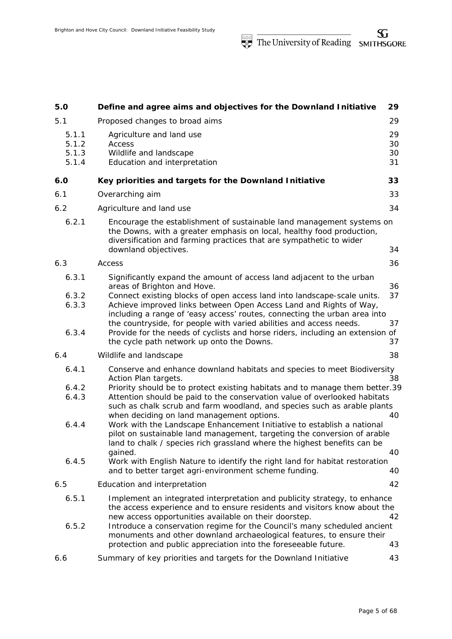| 5.0                              | Define and agree aims and objectives for the Downland Initiative                                                                                                                                                                                                                                                                                                     | 29                   |
|----------------------------------|----------------------------------------------------------------------------------------------------------------------------------------------------------------------------------------------------------------------------------------------------------------------------------------------------------------------------------------------------------------------|----------------------|
| 5.1                              | Proposed changes to broad aims                                                                                                                                                                                                                                                                                                                                       | 29                   |
| 5.1.1<br>5.1.2<br>5.1.3<br>5.1.4 | Agriculture and land use<br>Access<br>Wildlife and landscape<br>Education and interpretation                                                                                                                                                                                                                                                                         | 29<br>30<br>30<br>31 |
| 6.0                              | Key priorities and targets for the Downland Initiative                                                                                                                                                                                                                                                                                                               | 33                   |
| 6.1                              | Overarching aim                                                                                                                                                                                                                                                                                                                                                      | 33                   |
| 6.2                              | Agriculture and land use                                                                                                                                                                                                                                                                                                                                             | 34                   |
| 6.2.1                            | Encourage the establishment of sustainable land management systems on<br>the Downs, with a greater emphasis on local, healthy food production,<br>diversification and farming practices that are sympathetic to wider<br>downland objectives.                                                                                                                        | 34                   |
| 6.3                              | Access                                                                                                                                                                                                                                                                                                                                                               | 36                   |
| 6.3.1<br>6.3.2<br>6.3.3          | Significantly expand the amount of access land adjacent to the urban<br>areas of Brighton and Hove.<br>Connect existing blocks of open access land into landscape-scale units.<br>Achieve improved links between Open Access Land and Rights of Way,                                                                                                                 | 36<br>37             |
| 6.3.4                            | including a range of 'easy access' routes, connecting the urban area into<br>the countryside, for people with varied abilities and access needs.<br>Provide for the needs of cyclists and horse riders, including an extension of<br>the cycle path network up onto the Downs.                                                                                       | 37<br>37             |
| 6.4                              | Wildlife and landscape                                                                                                                                                                                                                                                                                                                                               | 38                   |
| 6.4.1<br>6.4.2<br>6.4.3          | Conserve and enhance downland habitats and species to meet Biodiversity<br>Action Plan targets.<br>Priority should be to protect existing habitats and to manage them better.39<br>Attention should be paid to the conservation value of overlooked habitats<br>such as chalk scrub and farm woodland, and species such as arable plants                             | 38                   |
| 6.4.4                            | when deciding on land management options.<br>Work with the Landscape Enhancement Initiative to establish a national<br>pilot on sustainable land management, targeting the conversion of arable<br>land to chalk / species rich grassland where the highest benefits can be<br>gained.                                                                               | 40<br>40             |
| 6.4.5                            | Work with English Nature to identify the right land for habitat restoration<br>and to better target agri-environment scheme funding.                                                                                                                                                                                                                                 | 40                   |
| 6.5                              | Education and interpretation                                                                                                                                                                                                                                                                                                                                         | 42                   |
| 6.5.1<br>6.5.2                   | Implement an integrated interpretation and publicity strategy, to enhance<br>the access experience and to ensure residents and visitors know about the<br>new access opportunities available on their doorstep.<br>Introduce a conservation regime for the Council's many scheduled ancient<br>monuments and other downland archaeological features, to ensure their | 42                   |
| 6.6                              | protection and public appreciation into the foreseeable future.<br>Summary of key priorities and targets for the Downland Initiative                                                                                                                                                                                                                                 | 43<br>43             |
|                                  |                                                                                                                                                                                                                                                                                                                                                                      |                      |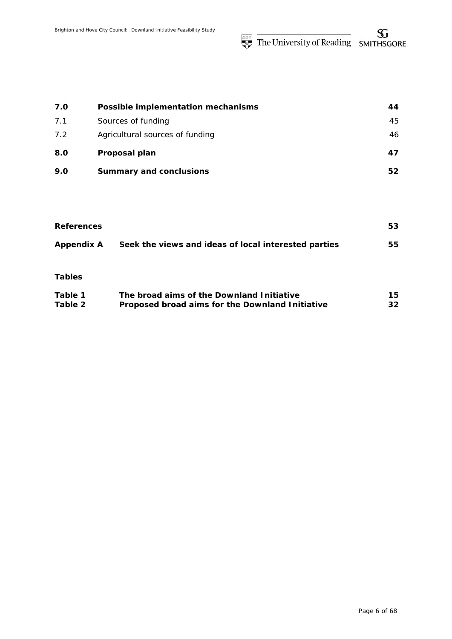The University of Reading SMITHSGORE

| 7.0 | Possible implementation mechanisms | 44 |
|-----|------------------------------------|----|
| 7.1 | Sources of funding                 | 45 |
| 7.2 | Agricultural sources of funding    | 46 |
| 8.0 | Proposal plan                      | 47 |
| 9.0 | <b>Summary and conclusions</b>     | 52 |

| <b>References</b> |                                                      | 53  |
|-------------------|------------------------------------------------------|-----|
| <b>Appendix A</b> | Seek the views and ideas of local interested parties | 55  |
| <b>Tables</b>     |                                                      |     |
| Table 1           | The broad aims of the Downland Initiative            | 15. |
| Table 2           | Proposed broad aims for the Downland Initiative      | 32  |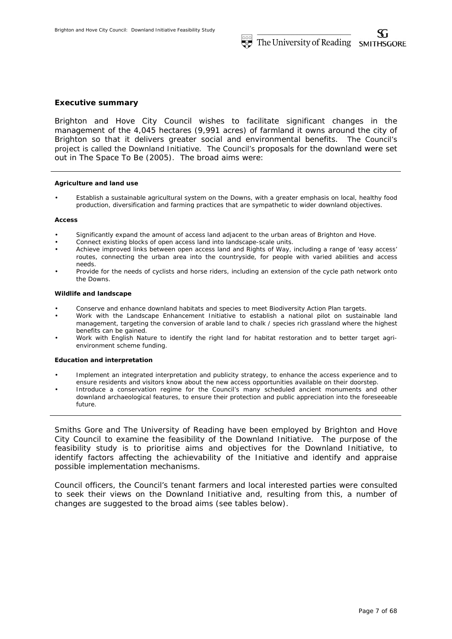### **Executive summary**

Brighton and Hove City Council wishes to facilitate significant changes in the management of the 4,045 hectares (9,991 acres) of farmland it owns around the city of Brighton so that it delivers greater social and environmental benefits. The Council's project is called the Downland Initiative. The Council's proposals for the downland were set out in The Space To Be (2005). The broad aims were:

#### **Agriculture and land use**

• Establish a sustainable agricultural system on the Downs, with a greater emphasis on local, healthy food production, diversification and farming practices that are sympathetic to wider downland objectives.

#### **Access**

- Significantly expand the amount of access land adjacent to the urban areas of Brighton and Hove.
- Connect existing blocks of open access land into landscape-scale units.
- Achieve improved links between open access land and Rights of Way, including a range of 'easy access' routes, connecting the urban area into the countryside, for people with varied abilities and access needs.
- Provide for the needs of cyclists and horse riders, including an extension of the cycle path network onto the Downs.

#### **Wildlife and landscape**

- Conserve and enhance downland habitats and species to meet Biodiversity Action Plan targets.
- Work with the Landscape Enhancement Initiative to establish a national pilot on sustainable land management, targeting the conversion of arable land to chalk / species rich grassland where the highest benefits can be gained.
- Work with English Nature to identify the right land for habitat restoration and to better target agrienvironment scheme funding.

### **Education and interpretation**

- Implement an integrated interpretation and publicity strategy, to enhance the access experience and to ensure residents and visitors know about the new access opportunities available on their doorstep.
- Introduce a conservation regime for the Council's many scheduled ancient monuments and other downland archaeological features, to ensure their protection and public appreciation into the foreseeable future.

Smiths Gore and The University of Reading have been employed by Brighton and Hove City Council to examine the feasibility of the Downland Initiative. The purpose of the feasibility study is to prioritise aims and objectives for the Downland Initiative, to identify factors affecting the achievability of the Initiative and identify and appraise possible implementation mechanisms.

Council officers, the Council's tenant farmers and local interested parties were consulted to seek their views on the Downland Initiative and, resulting from this, a number of changes are suggested to the broad aims (see tables below).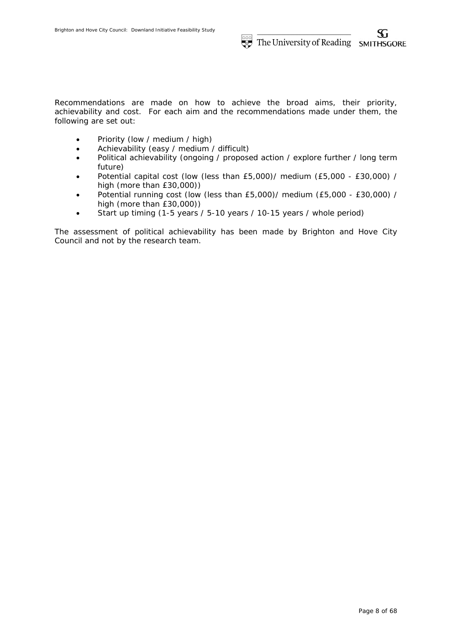Recommendations are made on how to achieve the broad aims, their priority, achievability and cost. For each aim and the recommendations made under them, the following are set out:

- Priority (low / medium / high)
- Achievability (easy / medium / difficult)
- Political achievability (ongoing / proposed action / explore further / long term future)
- Potential capital cost (low (less than £5,000)/ medium (£5,000 £30,000) / high (more than £30,000))
- Potential running cost (low (less than £5,000)/ medium (£5,000 £30,000) / high (more than £30,000))
- Start up timing (1-5 years / 5-10 years / 10-15 years / whole period)

The assessment of political achievability has been made by Brighton and Hove City Council and not by the research team.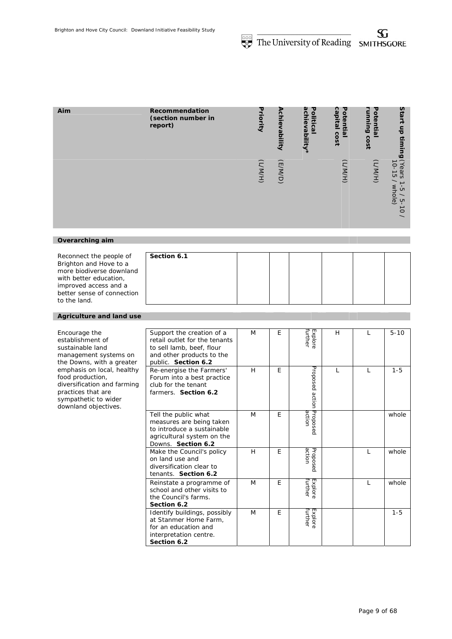| Aim             | Recommendation<br>(section number in<br>report) | Priority | Achievability | achievability*<br>Political | capital<br>Potential<br>cost | 공<br><b>Bujuun</b><br>ወ<br>⋾<br>릆<br>cost | Start<br>듬<br>timing                                                                                                                             |
|-----------------|-------------------------------------------------|----------|---------------|-----------------------------|------------------------------|-------------------------------------------|--------------------------------------------------------------------------------------------------------------------------------------------------|
|                 |                                                 | (H/M)    | (F/M/D)       |                             | (H/MYT)                      | (H/M)                                     | (Years<br>$10 - 15$<br>→<br>whole)<br>$\mathop{\mathsf{G}}\nolimits$<br>$\overline{\phantom{a}}$<br>ပှာ<br>$\vec{o}$<br>$\overline{\phantom{0}}$ |
|                 |                                                 |          |               |                             |                              |                                           |                                                                                                                                                  |
| Overarching aim |                                                 |          |               |                             |                              |                                           |                                                                                                                                                  |

| Reconnect the people of    | Section 6.1 |  |  |  |
|----------------------------|-------------|--|--|--|
| Brighton and Hove to a     |             |  |  |  |
| more biodiverse downland   |             |  |  |  |
| with better education,     |             |  |  |  |
| improved access and a      |             |  |  |  |
| better sense of connection |             |  |  |  |
| to the land.               |             |  |  |  |

### *Agriculture and land use*

|                                                                                                                                                     | Support the creation of a                                                                                                          | M | E |                    | H |              | $5 - 10$ |
|-----------------------------------------------------------------------------------------------------------------------------------------------------|------------------------------------------------------------------------------------------------------------------------------------|---|---|--------------------|---|--------------|----------|
| Encourage the<br>establishment of<br>sustainable land<br>management systems on<br>the Downs, with a greater                                         | retail outlet for the tenants<br>to sell lamb, beef, flour<br>and other products to the<br>public. Section 6.2                     |   |   | Explore<br>Further |   |              |          |
| emphasis on local, healthy<br>food production,<br>diversification and farming<br>practices that are<br>sympathetic to wider<br>downland objectives. | Re-energise the Farmers'<br>Forum into a best practice<br>club for the tenant<br>farmers. Section 6.2                              | H | E | Proposed<br>action | L | $\mathbf{L}$ | $1 - 5$  |
|                                                                                                                                                     | Tell the public what<br>measures are being taken<br>to introduce a sustainable<br>agricultural system on the<br>Downs. Section 6.2 | M | E | Proposec<br>action |   |              | whole    |
|                                                                                                                                                     | Make the Council's policy<br>on land use and<br>diversification clear to<br>tenants. Section 6.2                                   | H | E | Proposed<br>action |   | I.           | whole    |
|                                                                                                                                                     | Reinstate a programme of<br>school and other visits to<br>the Council's farms.<br>Section 6.2                                      | M | E | further<br>Explore |   |              | whole    |
|                                                                                                                                                     | Identify buildings, possibly<br>at Stanmer Home Farm,<br>for an education and<br>interpretation centre.<br>Section 6.2             | M | E | further<br>Explore |   |              | $1 - 5$  |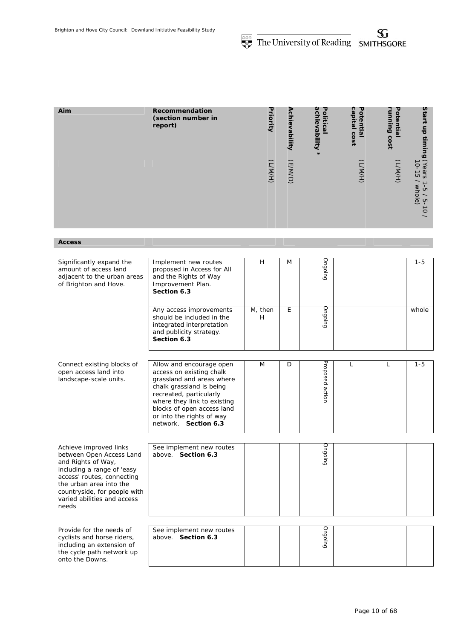| Aim | Recommendation<br>(section number in<br>report) | Priority | Achievability | ach<br>Politics<br>ievability<br>≌<br>$\ast$ | ຕ<br>τ<br>$\omega$<br>٥<br>pita<br>$\overline{\mathbf{z}}$<br>CO<br>$\tilde{s}$ | ह<br>Ē.<br>$\omega$<br>$\omega$<br>ດ<br>150 | Star<br>-<br>등<br>$\frac{1}{3}$<br>6                                                      |
|-----|-------------------------------------------------|----------|---------------|----------------------------------------------|---------------------------------------------------------------------------------|---------------------------------------------|-------------------------------------------------------------------------------------------|
|     |                                                 | (H/MYT)  | (E/M/D)       |                                              | (H/MYT)                                                                         | (H/MYT)                                     | (Years<br>Ò<br><b>σ</b><br>whole)<br>Ġ<br>្មា<br>د<br>$\circ$<br>$\overline{\phantom{0}}$ |

*Access* 

| Significantly expand the<br>amount of access land<br>adjacent to the urban areas<br>of Brighton and Hove.                                                                                                                               | Implement new routes<br>proposed in Access for All<br>and the Rights of Way<br>Improvement Plan.<br>Section 6.3                                                                                                                                            | H            | M | Ongoing         |              |   | $1 - 5$ |
|-----------------------------------------------------------------------------------------------------------------------------------------------------------------------------------------------------------------------------------------|------------------------------------------------------------------------------------------------------------------------------------------------------------------------------------------------------------------------------------------------------------|--------------|---|-----------------|--------------|---|---------|
|                                                                                                                                                                                                                                         | Any access improvements<br>should be included in the<br>integrated interpretation<br>and publicity strategy.<br>Section 6.3                                                                                                                                | M, then<br>H | E | Ongoing         |              |   | whole   |
| Connect existing blocks of<br>open access land into<br>landscape-scale units.                                                                                                                                                           | Allow and encourage open<br>access on existing chalk<br>grassland and areas where<br>chalk grassland is being<br>recreated, particularly<br>where they link to existing<br>blocks of open access land<br>or into the rights of way<br>network. Section 6.3 | M            | D | Proposed action | $\mathsf{L}$ | L | $1 - 5$ |
| Achieve improved links<br>between Open Access Land<br>and Rights of Way,<br>including a range of 'easy<br>access' routes, connecting<br>the urban area into the<br>countryside, for people with<br>varied abilities and access<br>needs | See implement new routes<br>above. Section 6.3                                                                                                                                                                                                             |              |   | pulopno         |              |   |         |
| Provide for the needs of<br>cyclists and horse riders,<br>including an extension of<br>the cycle path network up<br>onto the Downs.                                                                                                     | See implement new routes<br>above. Section 6.3                                                                                                                                                                                                             |              |   | Ongoing         |              |   |         |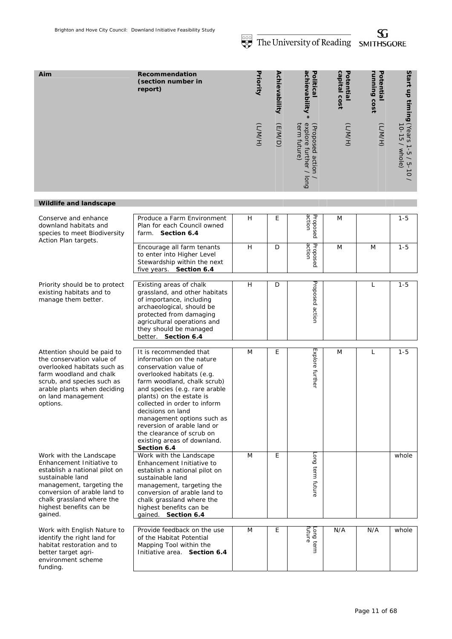SG.

**Start up timing** 

**Start up timing (Years 1-5 / 5-10)**<br>**Start up timing (Years 1-5 / 5-10** 

10-15 / whole) (Years 1-5 / 5-10 /

whole

|                                                                                                                                                                                                       |                                                                                                                                                                                                                              |   |          |               | THE UNIVERSITY OF REGUILIS                                    |                           | <b>SMITHSUURE</b>         |                                                                |
|-------------------------------------------------------------------------------------------------------------------------------------------------------------------------------------------------------|------------------------------------------------------------------------------------------------------------------------------------------------------------------------------------------------------------------------------|---|----------|---------------|---------------------------------------------------------------|---------------------------|---------------------------|----------------------------------------------------------------|
| Aim                                                                                                                                                                                                   | Recommendation<br>(section number in<br>report)                                                                                                                                                                              |   | Priority | Achievability | achievability<br>Politica                                     | capital cost<br>Potential | running cost<br>Potential |                                                                |
|                                                                                                                                                                                                       |                                                                                                                                                                                                                              |   | (H/NN)   | (E/M/D)       | explore further /<br>term future)<br>(Proposed action<br>long | (H/W)                     | (H/MYT)                   | əloqw / 91-01)<br>- c / c-۱ s العمل fillilli<br>$\overline{C}$ |
| <b>Wildlife and landscape</b>                                                                                                                                                                         |                                                                                                                                                                                                                              |   |          |               |                                                               |                           |                           |                                                                |
| Conserve and enhance<br>downland habitats and<br>species to meet Biodiversity<br>Action Plan targets.                                                                                                 | Produce a Farm Environment<br>Plan for each Council owned<br>farm. Section 6.4                                                                                                                                               | H |          | E             | action<br>Proposed                                            | M                         |                           | $1 - 5$                                                        |
|                                                                                                                                                                                                       | Encourage all farm tenants<br>to enter into Higher Level<br>Stewardship within the next<br>five years. Section 6.4                                                                                                           | H |          | D             | action<br>Proposed                                            | M                         | M                         | $1 - 5$                                                        |
| Priority should be to protect<br>existing habitats and to<br>manage them better.                                                                                                                      | Existing areas of chalk<br>grassland, and other habitats<br>of importance, including<br>archaeological, should be<br>protected from damaging<br>agricultural operations and<br>they should be managed<br>better. Section 6.4 | H |          | D             | Proposed action                                               |                           | L                         | $1 - 5$                                                        |
| Attention should be paid to<br>the conservation value of<br>overlooked habitats such as<br>farm woodland and chalk<br>scrub, and species such as<br>arable plants when deciding<br>on land management | It is recommended that<br>information on the nature<br>conservation value of<br>overlooked habitats (e.g.<br>farm woodland, chalk scrub)<br>and species (e.g. rare arable<br>plants) on the estate is                        | M |          | E             | Explore further                                               | M                         | L                         | $1 - 5$                                                        |

collected in order to inform

management options such as reversion of arable land or the clearance of scrub on existing areas of downland.

decisions on land

**Section 6.4**

*Work with the Landscape Enhancement Initiative to establish a national pilot on sustainable land management, targeting the conversion of arable land to chalk grassland where the highest benefits can be gained.* 

*options.* 

*Work with English Nature to identify the right land for habitat restoration and to better target agrienvironment scheme funding.* 

| Work with the Landscape<br>Enhancement Initiative to<br>establish a national pilot on<br>sustainable land<br>management, targeting the<br>conversion of arable land to<br>chalk grassland where the<br>highest benefits can be<br>gained. Section 6.4 | M | E | <b>Long</b><br>term<br>future |     |     | whole |
|-------------------------------------------------------------------------------------------------------------------------------------------------------------------------------------------------------------------------------------------------------|---|---|-------------------------------|-----|-----|-------|
| Provide feedback on the use<br>of the Habitat Potential<br>Mapping Tool within the<br>Initiative area. Section 6.4                                                                                                                                    | M | F | futur<br>ong<br>term          | N/A | N/A | whole |

M E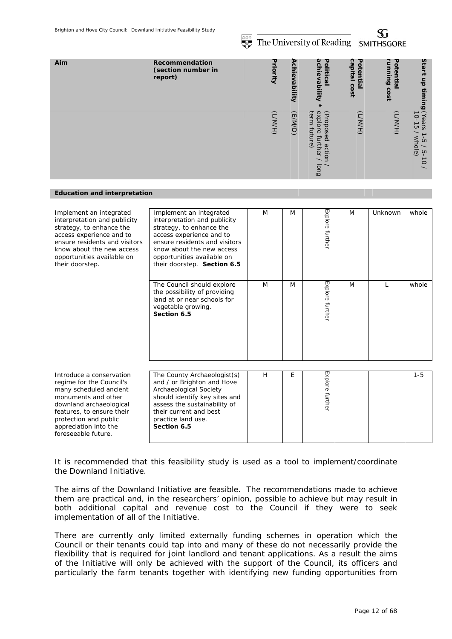The University of Reading SMITHSGORE

S.

| Aim | Recommendation<br>(section number in<br>report) | υ<br><b>Priority</b> | Ach<br><u>ieV</u><br>lid <sub>5</sub><br>Ē | യ<br>ℸ<br>$\frac{1}{2}$<br>$\circ$<br>litical<br>$\boldsymbol{\sigma}$<br>Vability | ຕ<br>τ<br>ä٥<br>oten<br>Ξ<br>உ<br>ဒ<br>$\tilde{\mathbf{5}}$ | τ<br>٥<br>ă<br>5<br>∍<br>Ξ.<br>ه<br>$\omega$<br>ດ<br>$\overline{\mathbf{S}}$<br>è | Star<br>÷<br>등<br>$\ddot{=}$<br>ים                                                       |
|-----|-------------------------------------------------|----------------------|--------------------------------------------|------------------------------------------------------------------------------------|-------------------------------------------------------------|-----------------------------------------------------------------------------------|------------------------------------------------------------------------------------------|
|     |                                                 | (H/N/                | (E/M/D)                                    | exp<br>ter<br>(Prop<br>SŌ<br>ဥ<br>┑<br>$\sigma$<br>actio<br>ther<br>long           | (H/N)                                                       | (H/N/                                                                             | Years<br>IO-15<br>whole)<br>$\sigma$<br><b>CT</b><br>$\circ$<br>$\overline{\phantom{0}}$ |

#### *Education and interpretation*

| Implement an integrated<br>interpretation and publicity<br>strategy, to enhance the<br>access experience and to<br>ensure residents and visitors<br>know about the new access<br>opportunities available on<br>their doorstep.         | Implement an integrated<br>interpretation and publicity<br>strategy, to enhance the<br>access experience and to<br>ensure residents and visitors<br>know about the new access<br>opportunities available on<br>their doorstep. Section 6.5 | M | M | Explore further | M | Unknown      | whole   |
|----------------------------------------------------------------------------------------------------------------------------------------------------------------------------------------------------------------------------------------|--------------------------------------------------------------------------------------------------------------------------------------------------------------------------------------------------------------------------------------------|---|---|-----------------|---|--------------|---------|
|                                                                                                                                                                                                                                        | The Council should explore<br>the possibility of providing<br>land at or near schools for<br>vegetable growing.<br>Section 6.5                                                                                                             | M | M | Explore further | M | $\mathbf{L}$ | whole   |
| Introduce a conservation<br>regime for the Council's<br>many scheduled ancient<br>monuments and other<br>downland archaeological<br>features, to ensure their<br>protection and public<br>appreciation into the<br>foreseeable future. | The County Archaeologist(s)<br>and / or Brighton and Hove<br>Archaeological Society<br>should identify key sites and<br>assess the sustainability of<br>their current and best<br>practice land use.<br>Section 6.5                        | H | E | Explore further |   |              | $1 - 5$ |

It is recommended that this feasibility study is used as a tool to implement/coordinate the Downland Initiative.

The aims of the Downland Initiative are feasible. The recommendations made to achieve them are practical and, in the researchers' opinion, possible to achieve but may result in both additional capital and revenue cost to the Council if they were to seek implementation of all of the Initiative.

There are currently only limited externally funding schemes in operation which the Council or their tenants could tap into and many of these do not necessarily provide the flexibility that is required for joint landlord and tenant applications. As a result the aims of the Initiative will only be achieved with the support of the Council, its officers and particularly the farm tenants together with identifying new funding opportunities from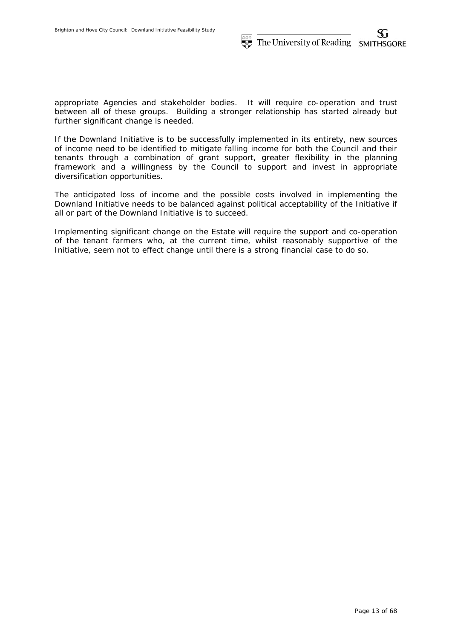appropriate Agencies and stakeholder bodies. It will require co-operation and trust between all of these groups. Building a stronger relationship has started already but further significant change is needed.

If the Downland Initiative is to be successfully implemented in its entirety, new sources of income need to be identified to mitigate falling income for both the Council and their tenants through a combination of grant support, greater flexibility in the planning framework and a willingness by the Council to support and invest in appropriate diversification opportunities.

The anticipated loss of income and the possible costs involved in implementing the Downland Initiative needs to be balanced against political acceptability of the Initiative if all or part of the Downland Initiative is to succeed.

Implementing significant change on the Estate will require the support and co-operation of the tenant farmers who, at the current time, whilst reasonably supportive of the Initiative, seem not to effect change until there is a strong financial case to do so.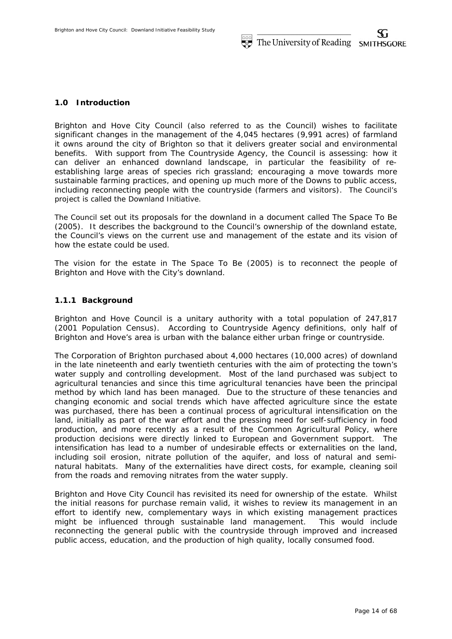# **1.0 Introduction**

Brighton and Hove City Council (also referred to as the Council) wishes to facilitate significant changes in the management of the 4,045 hectares (9,991 acres) of farmland it owns around the city of Brighton so that it delivers greater social and environmental benefits. With support from The Countryside Agency, the Council is assessing: how it can deliver an enhanced downland landscape, in particular the feasibility of reestablishing large areas of species rich grassland; encouraging a move towards more sustainable farming practices, and opening up much more of the Downs to public access, including reconnecting people with the countryside (farmers and visitors). The Council's project is called the Downland Initiative.

The Council set out its proposals for the downland in a document called The Space To Be (2005). It describes the background to the Council's ownership of the downland estate, the Council's views on the current use and management of the estate and its vision of how the estate could be used.

The vision for the estate in The Space To Be *(2005)* is to reconnect the people of Brighton and Hove with the City's downland.

## **1.1.1 Background**

Brighton and Hove Council is a unitary authority with a total population of 247,817 (2001 Population Census). According to Countryside Agency definitions, only half of Brighton and Hove's area is urban with the balance either urban fringe or countryside.

The Corporation of Brighton purchased about 4,000 hectares (10,000 acres) of downland in the late nineteenth and early twentieth centuries with the aim of protecting the town's water supply and controlling development. Most of the land purchased was subject to agricultural tenancies and since this time agricultural tenancies have been the principal method by which land has been managed. Due to the structure of these tenancies and changing economic and social trends which have affected agriculture since the estate was purchased, there has been a continual process of agricultural intensification on the land, initially as part of the war effort and the pressing need for self-sufficiency in food production, and more recently as a result of the Common Agricultural Policy, where production decisions were directly linked to European and Government support. The intensification has lead to a number of undesirable effects or externalities on the land, including soil erosion, nitrate pollution of the aquifer, and loss of natural and seminatural habitats. Many of the externalities have direct costs, for example, cleaning soil from the roads and removing nitrates from the water supply.

Brighton and Hove City Council has revisited its need for ownership of the estate. Whilst the initial reasons for purchase remain valid, it wishes to review its management in an effort to identify new, complementary ways in which existing management practices might be influenced through sustainable land management. This would include reconnecting the general public with the countryside through improved and increased public access, education, and the production of high quality, locally consumed food.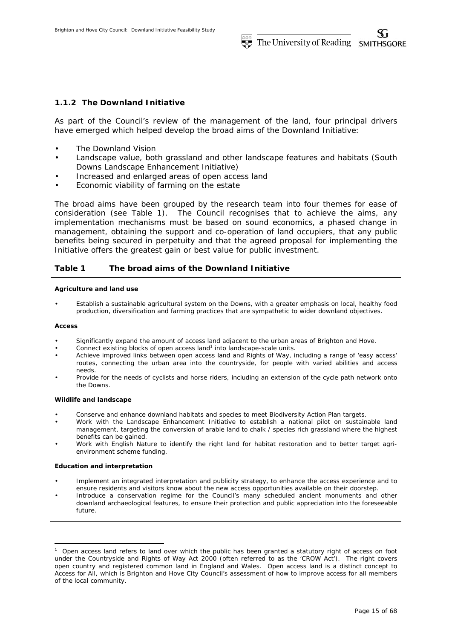## **1.1.2 The Downland Initiative**

As part of the Council's review of the management of the land, four principal drivers have emerged which helped develop the broad aims of the Downland Initiative:

- The Downland Vision
- Landscape value, both grassland and other landscape features and habitats (South Downs Landscape Enhancement Initiative)
- Increased and enlarged areas of open access land
- Economic viability of farming on the estate

The broad aims have been grouped by the research team into four themes for ease of consideration (see Table 1). The Council recognises that to achieve the aims, any implementation mechanisms must be based on sound economics, a phased change in management, obtaining the support and co-operation of land occupiers, that any public benefits being secured in perpetuity and that the agreed proposal for implementing the Initiative offers the greatest gain or best value for public investment.

### **Table 1 The broad aims of the Downland Initiative**

#### **Agriculture and land use**

• Establish a sustainable agricultural system on the Downs, with a greater emphasis on local, healthy food production, diversification and farming practices that are sympathetic to wider downland objectives.

#### **Access**

-

- Significantly expand the amount of access land adjacent to the urban areas of Brighton and Hove.
- Connect existing blocks of open access land<sup>1</sup> into landscape-scale units.
- Achieve improved links between open access land and Rights of Way, including a range of 'easy access' routes, connecting the urban area into the countryside, for people with varied abilities and access needs.
- Provide for the needs of cyclists and horse riders, including an extension of the cycle path network onto the Downs.

#### **Wildlife and landscape**

- Conserve and enhance downland habitats and species to meet Biodiversity Action Plan targets.
- Work with the Landscape Enhancement Initiative to establish a national pilot on sustainable land management, targeting the conversion of arable land to chalk / species rich grassland where the highest benefits can be gained.
- Work with English Nature to identify the right land for habitat restoration and to better target agrienvironment scheme funding.

#### **Education and interpretation**

- Implement an integrated interpretation and publicity strategy, to enhance the access experience and to ensure residents and visitors know about the new access opportunities available on their doorstep.
- Introduce a conservation regime for the Council's many scheduled ancient monuments and other downland archaeological features, to ensure their protection and public appreciation into the foreseeable future.

<sup>1</sup> Open access land refers to land over which the public has been granted a statutory right of access on foot under the Countryside and Rights of Way Act 2000 (often referred to as the 'CROW Act'). The right covers open country and registered common land in England and Wales. Open access land is a distinct concept to Access for All, which is Brighton and Hove City Council's assessment of how to improve access for all members of the local community.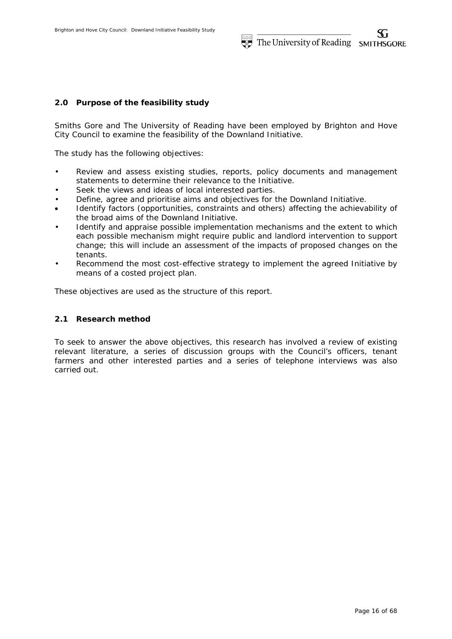## **2.0 Purpose of the feasibility study**

Smiths Gore and The University of Reading have been employed by Brighton and Hove City Council to examine the feasibility of the Downland Initiative.

The study has the following objectives:

- Review and assess existing studies, reports, policy documents and management statements to determine their relevance to the Initiative.
- Seek the views and ideas of local interested parties.
- Define, agree and prioritise aims and objectives for the Downland Initiative.
- Identify factors (opportunities, constraints and others) affecting the achievability of the broad aims of the Downland Initiative.
- Identify and appraise possible implementation mechanisms and the extent to which each possible mechanism might require public and landlord intervention to support change; this will include an assessment of the impacts of proposed changes on the tenants.
- Recommend the most cost-effective strategy to implement the agreed Initiative by means of a costed project plan.

These objectives are used as the structure of this report.

### **2.1 Research method**

To seek to answer the above objectives, this research has involved a review of existing relevant literature, a series of discussion groups with the Council's officers, tenant farmers and other interested parties and a series of telephone interviews was also carried out.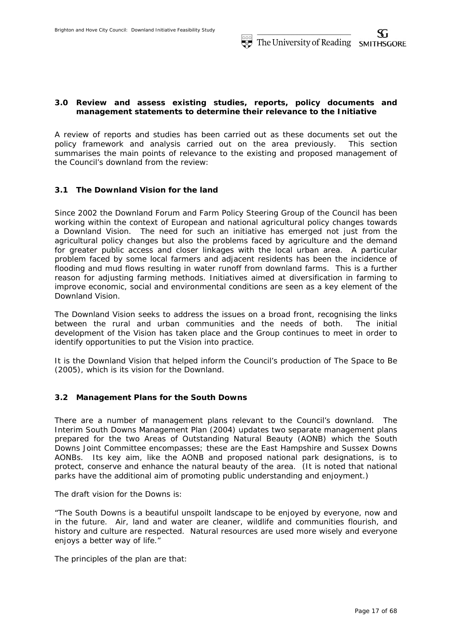# **3.0 Review and assess existing studies, reports, policy documents and management statements to determine their relevance to the Initiative**

A review of reports and studies has been carried out as these documents set out the policy framework and analysis carried out on the area previously. This section summarises the main points of relevance to the existing and proposed management of the Council's downland from the review:

# **3.1 The Downland Vision for the land**

Since 2002 the Downland Forum and Farm Policy Steering Group of the Council has been working within the context of European and national agricultural policy changes towards a Downland Vision. The need for such an initiative has emerged not just from the agricultural policy changes but also the problems faced by agriculture and the demand for greater public access and closer linkages with the local urban area. A particular problem faced by some local farmers and adjacent residents has been the incidence of flooding and mud flows resulting in water runoff from downland farms. This is a further reason for adjusting farming methods. Initiatives aimed at diversification in farming to improve economic, social and environmental conditions are seen as a key element of the Downland Vision.

The Downland Vision seeks to address the issues on a broad front, recognising the links between the rural and urban communities and the needs of both. The initial development of the Vision has taken place and the Group continues to meet in order to identify opportunities to put the Vision into practice.

It is the Downland Vision that helped inform the Council's production of The Space to Be *(2005)*, which is its vision for the Downland.

# **3.2 Management Plans for the South Downs**

There are a number of management plans relevant to the Council's downland. The *Interim South Downs Management Plan* (2004) updates two separate management plans prepared for the two Areas of Outstanding Natural Beauty (AONB) which the South Downs Joint Committee encompasses; these are the East Hampshire and Sussex Downs AONBs. Its key aim, like the AONB and proposed national park designations, is to protect, conserve and enhance the natural beauty of the area. (It is noted that national parks have the additional aim of promoting public understanding and enjoyment.)

The draft vision for the Downs is:

"The South Downs is a beautiful unspoilt landscape to be enjoyed by everyone, now and in the future. Air, land and water are cleaner, wildlife and communities flourish, and history and culture are respected. Natural resources are used more wisely and everyone enjoys a better way of life."

The principles of the plan are that: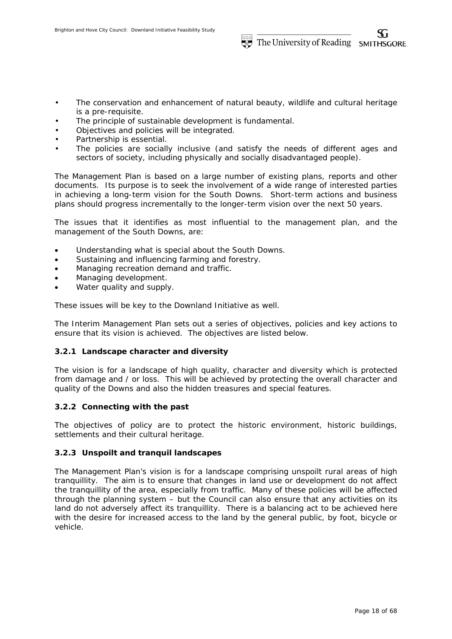- The conservation and enhancement of natural beauty, wildlife and cultural heritage is a pre-requisite.
- The principle of sustainable development is fundamental.
- Objectives and policies will be integrated.
- Partnership is essential.
- The policies are socially inclusive (and satisfy the needs of different ages and sectors of society, including physically and socially disadvantaged people).

The Management Plan is based on a large number of existing plans, reports and other documents. Its purpose is to seek the involvement of a wide range of interested parties in achieving a long-term vision for the South Downs. Short-term actions and business plans should progress incrementally to the longer-term vision over the next 50 years.

The issues that it identifies as most influential to the management plan, and the management of the South Downs, are:

- Understanding what is special about the South Downs.
- Sustaining and influencing farming and forestry.
- Managing recreation demand and traffic.
- Managing development.
- Water quality and supply.

These issues will be key to the Downland Initiative as well.

The Interim Management Plan sets out a series of objectives, policies and key actions to ensure that its vision is achieved. The objectives are listed below.

## **3.2.1 Landscape character and diversity**

The vision is for a landscape of high quality, character and diversity which is protected from damage and / or loss. This will be achieved by protecting the overall character and quality of the Downs and also the hidden treasures and special features.

# **3.2.2 Connecting with the past**

The objectives of policy are to protect the historic environment, historic buildings, settlements and their cultural heritage.

# **3.2.3 Unspoilt and tranquil landscapes**

The Management Plan's vision is for a landscape comprising unspoilt rural areas of high tranquillity. The aim is to ensure that changes in land use or development do not affect the tranquillity of the area, especially from traffic. Many of these policies will be affected through the planning system – but the Council can also ensure that any activities on its land do not adversely affect its tranquillity. There is a balancing act to be achieved here with the desire for increased access to the land by the general public, by foot, bicycle or vehicle.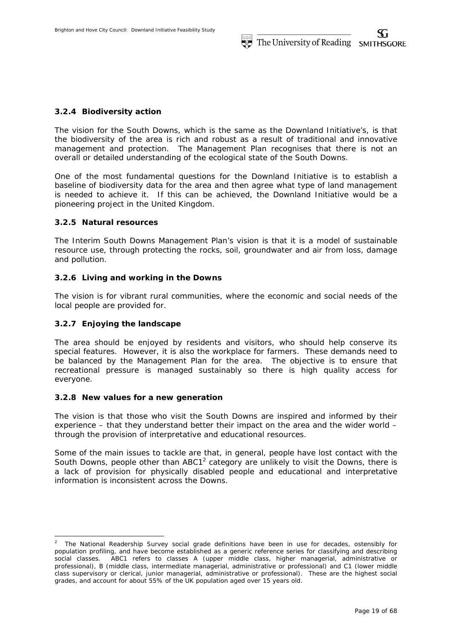# **3.2.4 Biodiversity action**

The vision for the South Downs, which is the same as the Downland Initiative's, is that the biodiversity of the area is rich and robust as a result of traditional and innovative management and protection. The Management Plan recognises that there is not an overall or detailed understanding of the ecological state of the South Downs.

One of the most fundamental questions for the Downland Initiative is to establish a baseline of biodiversity data for the area and then agree what type of land management is needed to achieve it. If this can be achieved, the Downland Initiative would be a pioneering project in the United Kingdom.

# **3.2.5 Natural resources**

The Interim South Downs Management Plan's vision is that it is a model of sustainable resource use, through protecting the rocks, soil, groundwater and air from loss, damage and pollution.

# **3.2.6 Living and working in the Downs**

The vision is for vibrant rural communities, where the economic and social needs of the local people are provided for.

# **3.2.7 Enjoying the landscape**

-

The area should be enjoyed by residents and visitors, who should help conserve its special features. However, it is also the workplace for farmers. These demands need to be balanced by the Management Plan for the area. The objective is to ensure that recreational pressure is managed sustainably so there is high quality access for everyone.

## **3.2.8 New values for a new generation**

The vision is that those who visit the South Downs are inspired and informed by their experience – that they understand better their impact on the area and the wider world – through the provision of interpretative and educational resources.

Some of the main issues to tackle are that, in general, people have lost contact with the South Downs, people other than ABC1<sup>2</sup> category are unlikely to visit the Downs, there is a lack of provision for physically disabled people and educational and interpretative information is inconsistent across the Downs.

<sup>2</sup> The National Readership Survey social grade definitions have been in use for decades, ostensibly for population profiling, and have become established as a generic reference series for classifying and describing social classes. ABC1 refers to classes A (upper middle class, higher managerial, administrative or professional), B (middle class, intermediate managerial, administrative or professional) and C1 (lower middle class supervisory or clerical, junior managerial, administrative or professional). These are the highest social grades, and account for about 55% of the UK population aged over 15 years old.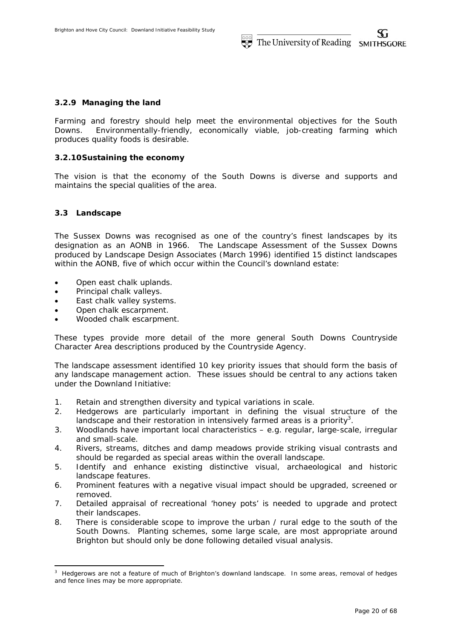# **3.2.9 Managing the land**

Farming and forestry should help meet the environmental objectives for the South Downs. Environmentally-friendly, economically viable, job-creating farming which produces quality foods is desirable.

## **3.2.10Sustaining the economy**

The vision is that the economy of the South Downs is diverse and supports and maintains the special qualities of the area.

## **3.3 Landscape**

-

The Sussex Downs was recognised as one of the country's finest landscapes by its designation as an AONB in 1966. The Landscape Assessment of the Sussex Downs produced by Landscape Design Associates (March 1996) identified 15 distinct landscapes within the AONB, five of which occur within the Council's downland estate:

- Open east chalk uplands.
- Principal chalk valleys.
- East chalk valley systems.
- Open chalk escarpment.
- Wooded chalk escarpment.

These types provide more detail of the more general South Downs Countryside Character Area descriptions produced by the Countryside Agency.

The landscape assessment identified 10 key priority issues that should form the basis of any landscape management action. These issues should be central to any actions taken under the Downland Initiative:

- 1. Retain and strengthen diversity and typical variations in scale.
- 2. Hedgerows are particularly important in defining the visual structure of the landscape and their restoration in intensively farmed areas is a priority<sup>3</sup>.
- 3. Woodlands have important local characteristics e.g. regular, large-scale, irregular and small-scale.
- 4. Rivers, streams, ditches and damp meadows provide striking visual contrasts and should be regarded as special areas within the overall landscape.
- 5. Identify and enhance existing distinctive visual, archaeological and historic landscape features.
- 6. Prominent features with a negative visual impact should be upgraded, screened or removed.
- 7. Detailed appraisal of recreational 'honey pots' is needed to upgrade and protect their landscapes.
- 8. There is considerable scope to improve the urban / rural edge to the south of the South Downs. Planting schemes, some large scale, are most appropriate around Brighton but should only be done following detailed visual analysis.

<sup>&</sup>lt;sup>3</sup> Hedgerows are not a feature of much of Brighton's downland landscape. In some areas, removal of hedges and fence lines may be more appropriate.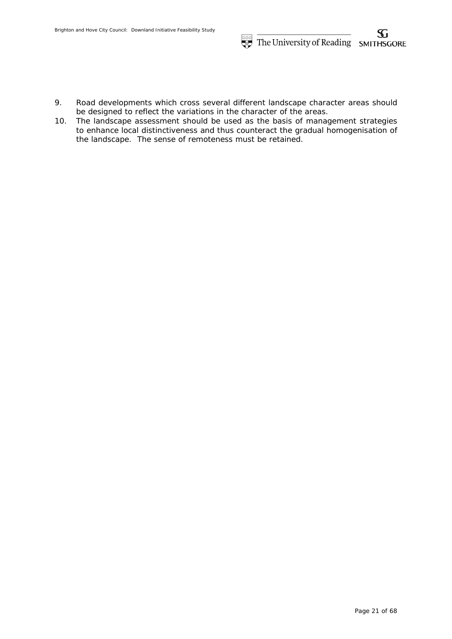- 9. Road developments which cross several different landscape character areas should be designed to reflect the variations in the character of the areas.
- 10. The landscape assessment should be used as the basis of management strategies to enhance local distinctiveness and thus counteract the gradual homogenisation of the landscape. The sense of remoteness must be retained.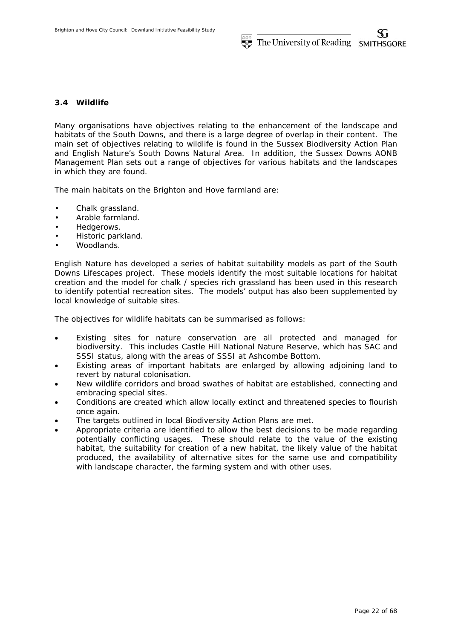# **3.4 Wildlife**

Many organisations have objectives relating to the enhancement of the landscape and habitats of the South Downs, and there is a large degree of overlap in their content. The main set of objectives relating to wildlife is found in the Sussex Biodiversity Action Plan and English Nature's South Downs Natural Area. In addition, the Sussex Downs AONB Management Plan sets out a range of objectives for various habitats and the landscapes in which they are found.

The main habitats on the Brighton and Hove farmland are:

- Chalk grassland.
- Arable farmland.
- Hedgerows.
- Historic parkland.
- Woodlands.

English Nature has developed a series of habitat suitability models as part of the South Downs Lifescapes project. These models identify the most suitable locations for habitat creation and the model for chalk / species rich grassland has been used in this research to identify potential recreation sites. The models' output has also been supplemented by local knowledge of suitable sites.

The objectives for wildlife habitats can be summarised as follows:

- Existing sites for nature conservation are all protected and managed for biodiversity. This includes Castle Hill National Nature Reserve, which has SAC and SSSI status, along with the areas of SSSI at Ashcombe Bottom.
- Existing areas of important habitats are enlarged by allowing adjoining land to revert by natural colonisation.
- New wildlife corridors and broad swathes of habitat are established, connecting and embracing special sites.
- Conditions are created which allow locally extinct and threatened species to flourish once again.
- The targets outlined in local Biodiversity Action Plans are met.
- Appropriate criteria are identified to allow the best decisions to be made regarding potentially conflicting usages. These should relate to the value of the existing habitat, the suitability for creation of a new habitat, the likely value of the habitat produced, the availability of alternative sites for the same use and compatibility with landscape character, the farming system and with other uses.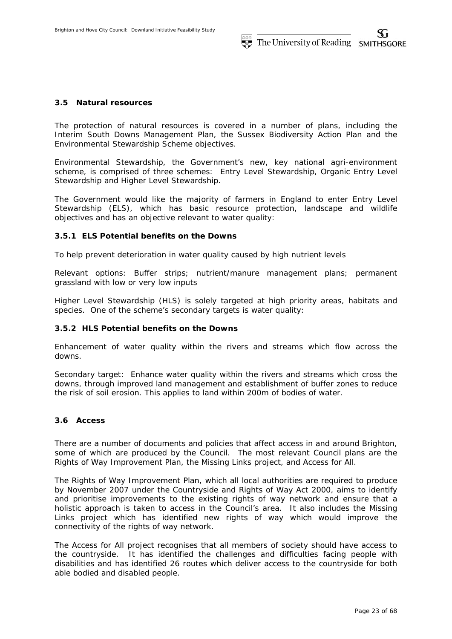## **3.5 Natural resources**

The protection of natural resources is covered in a number of plans, including the Interim South Downs Management Plan, the Sussex Biodiversity Action Plan and the Environmental Stewardship Scheme objectives.

Environmental Stewardship, the Government's new, key national agri-environment scheme, is comprised of three schemes: Entry Level Stewardship, Organic Entry Level Stewardship and Higher Level Stewardship.

The Government would like the majority of farmers in England to enter Entry Level Stewardship (ELS), which has basic resource protection, landscape and wildlife objectives and has an objective relevant to water quality:

## **3.5.1 ELS Potential benefits on the Downs**

To help prevent deterioration in water quality caused by high nutrient levels

Relevant options: Buffer strips; nutrient/manure management plans; permanent grassland with low or very low inputs

Higher Level Stewardship (HLS) is solely targeted at high priority areas, habitats and species. One of the scheme's secondary targets is water quality:

## **3.5.2 HLS Potential benefits on the Downs**

Enhancement of water quality within the rivers and streams which flow across the downs.

Secondary target: Enhance water quality within the rivers and streams which cross the downs, through improved land management and establishment of buffer zones to reduce the risk of soil erosion. This applies to land within 200m of bodies of water.

# **3.6 Access**

There are a number of documents and policies that affect access in and around Brighton, some of which are produced by the Council. The most relevant Council plans are the Rights of Way Improvement Plan, the Missing Links project, and Access for All.

The Rights of Way Improvement Plan, which all local authorities are required to produce by November 2007 under the Countryside and Rights of Way Act 2000, aims to identify and prioritise improvements to the existing rights of way network and ensure that a holistic approach is taken to access in the Council's area. It also includes the Missing Links project which has identified new rights of way which would improve the connectivity of the rights of way network.

The Access for All project recognises that all members of society should have access to the countryside. It has identified the challenges and difficulties facing people with disabilities and has identified 26 routes which deliver access to the countryside for both able bodied and disabled people.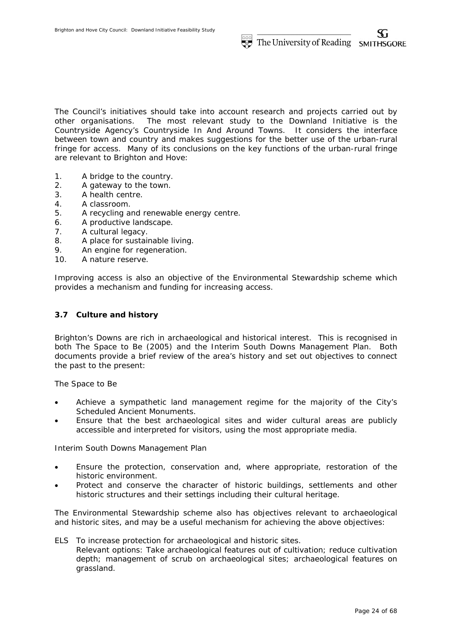The Council's initiatives should take into account research and projects carried out by other organisations. The most relevant study to the Downland Initiative is the Countryside Agency's Countryside In And Around Towns. It considers the interface between town and country and makes suggestions for the better use of the urban-rural fringe for access. Many of its conclusions on the key functions of the urban-rural fringe are relevant to Brighton and Hove:

- 1. A bridge to the country.
- 2. A gateway to the town.
- 3. A health centre.
- 4. A classroom.
- 5. A recycling and renewable energy centre.
- 6. A productive landscape.
- 7. A cultural legacy.
- 8. A place for sustainable living.
- 9. An engine for regeneration.
- 10. A nature reserve.

Improving access is also an objective of the Environmental Stewardship scheme which provides a mechanism and funding for increasing access.

# **3.7 Culture and history**

Brighton's Downs are rich in archaeological and historical interest. This is recognised in both The Space to Be (2005) and the Interim South Downs Management Plan. Both documents provide a brief review of the area's history and set out objectives to connect the past to the present:

The Space to Be

- Achieve a sympathetic land management regime for the majority of the City's Scheduled Ancient Monuments.
- Ensure that the best archaeological sites and wider cultural areas are publicly accessible and interpreted for visitors, using the most appropriate media.

Interim South Downs Management Plan

- Ensure the protection, conservation and, where appropriate, restoration of the historic environment.
- Protect and conserve the character of historic buildings, settlements and other historic structures and their settings including their cultural heritage.

The Environmental Stewardship scheme also has objectives relevant to archaeological and historic sites, and may be a useful mechanism for achieving the above objectives:

ELS To increase protection for archaeological and historic sites. *Relevant options: Take archaeological features out of cultivation; reduce cultivation depth; management of scrub on archaeological sites; archaeological features on grassland.*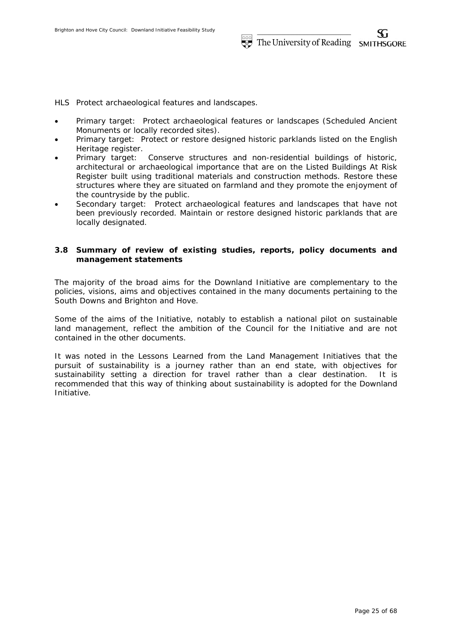HLS Protect archaeological features and landscapes.

- Primary target: Protect archaeological features or landscapes (Scheduled Ancient Monuments or locally recorded sites).
- Primary target: Protect or restore designed historic parklands listed on the English Heritage register.
- Primary target: Conserve structures and non-residential buildings of historic, architectural or archaeological importance that are on the Listed Buildings At Risk Register built using traditional materials and construction methods. Restore these structures where they are situated on farmland and they promote the enjoyment of the countryside by the public.
- *Secondary target: Protect archaeological features and landscapes that have not been previously recorded. Maintain or restore designed historic parklands that are locally designated.*

# **3.8 Summary of review of existing studies, reports, policy documents and management statements**

The majority of the broad aims for the Downland Initiative are complementary to the policies, visions, aims and objectives contained in the many documents pertaining to the South Downs and Brighton and Hove.

Some of the aims of the Initiative, notably to establish a national pilot on sustainable land management, reflect the ambition of the Council for the Initiative and are not contained in the other documents.

It was noted in the Lessons Learned from the Land Management Initiatives that the pursuit of sustainability is a journey rather than an end state, with objectives for sustainability setting a direction for travel rather than a clear destination. It is recommended that this way of thinking about sustainability is adopted for the Downland Initiative.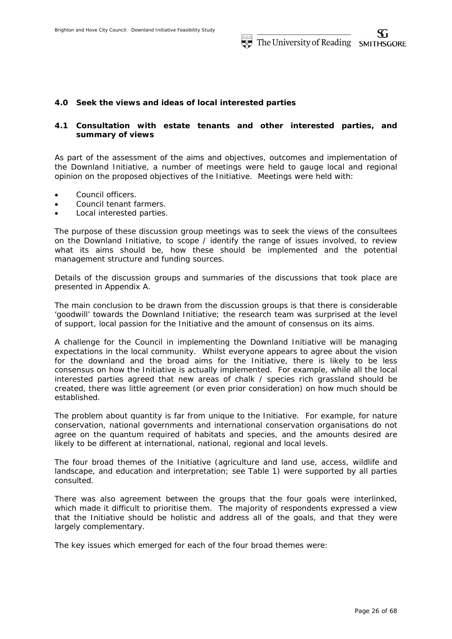# **4.0 Seek the views and ideas of local interested parties**

# **4.1 Consultation with estate tenants and other interested parties, and summary of views**

As part of the assessment of the aims and objectives, outcomes and implementation of the Downland Initiative, a number of meetings were held to gauge local and regional opinion on the proposed objectives of the Initiative. Meetings were held with:

- Council officers.
- Council tenant farmers.
- Local interested parties.

The purpose of these discussion group meetings was to seek the views of the consultees on the Downland Initiative, to scope / identify the range of issues involved, to review what its aims should be, how these should be implemented and the potential management structure and funding sources.

Details of the discussion groups and summaries of the discussions that took place are presented in Appendix A.

The main conclusion to be drawn from the discussion groups is that there is considerable 'goodwill' towards the Downland Initiative; the research team was surprised at the level of support, local passion for the Initiative and the amount of consensus on its aims.

A challenge for the Council in implementing the Downland Initiative will be managing expectations in the local community. Whilst everyone appears to agree about the vision for the downland and the broad aims for the Initiative, there is likely to be less consensus on how the Initiative is actually implemented. For example, while all the local interested parties agreed that new areas of chalk / species rich grassland should be created, there was little agreement (or even prior consideration) on how much should be established.

The problem about quantity is far from unique to the Initiative. For example, for nature conservation, national governments and international conservation organisations do not agree on the quantum required of habitats and species, and the amounts desired are likely to be different at international, national, regional and local levels.

The four broad themes of the Initiative (agriculture and land use, access, wildlife and landscape, and education and interpretation; see Table 1) were supported by all parties consulted.

There was also agreement between the groups that the four goals were interlinked, which made it difficult to prioritise them. The majority of respondents expressed a view that the Initiative should be holistic and address all of the goals, and that they were largely complementary.

The key issues which emerged for each of the four broad themes were: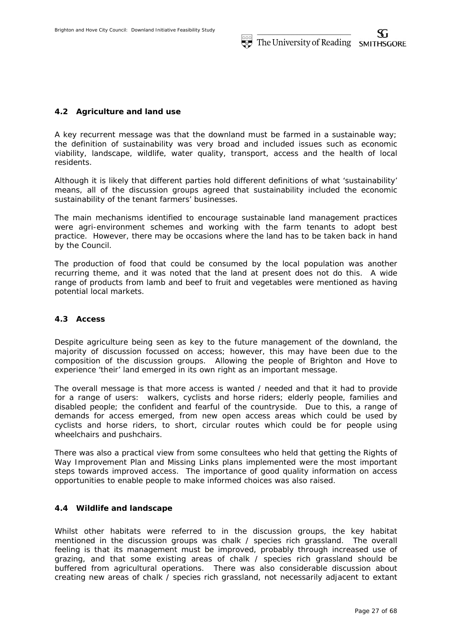# **4.2 Agriculture and land use**

A key recurrent message was that the downland must be farmed in a sustainable way; the definition of sustainability was very broad and included issues such as economic viability, landscape, wildlife, water quality, transport, access and the health of local residents.

Although it is likely that different parties hold different definitions of what 'sustainability' means, all of the discussion groups agreed that sustainability included the economic sustainability of the tenant farmers' businesses.

The main mechanisms identified to encourage sustainable land management practices were agri-environment schemes and working with the farm tenants to adopt best practice. However, there may be occasions where the land has to be taken back in hand by the Council.

The production of food that could be consumed by the local population was another recurring theme, and it was noted that the land at present does not do this. A wide range of products from lamb and beef to fruit and vegetables were mentioned as having potential local markets.

# **4.3 Access**

Despite agriculture being seen as key to the future management of the downland, the majority of discussion focussed on access; however, this may have been due to the composition of the discussion groups. Allowing the people of Brighton and Hove to experience 'their' land emerged in its own right as an important message.

The overall message is that more access is wanted / needed and that it had to provide for a range of users: walkers, cyclists and horse riders; elderly people, families and disabled people; the confident and fearful of the countryside. Due to this, a range of demands for access emerged, from new open access areas which could be used by cyclists and horse riders, to short, circular routes which could be for people using wheelchairs and pushchairs.

There was also a practical view from some consultees who held that getting the Rights of Way Improvement Plan and Missing Links plans implemented were the most important steps towards improved access. The importance of good quality information on access opportunities to enable people to make informed choices was also raised.

## **4.4 Wildlife and landscape**

Whilst other habitats were referred to in the discussion groups, the key habitat mentioned in the discussion groups was chalk / species rich grassland. The overall feeling is that its management must be improved, probably through increased use of grazing, and that some existing areas of chalk / species rich grassland should be buffered from agricultural operations. There was also considerable discussion about creating new areas of chalk / species rich grassland, not necessarily adjacent to extant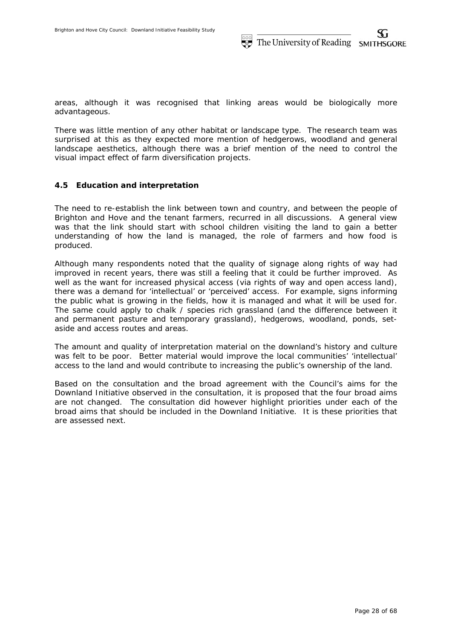areas, although it was recognised that linking areas would be biologically more advantageous.

There was little mention of any other habitat or landscape type. The research team was surprised at this as they expected more mention of hedgerows, woodland and general landscape aesthetics, although there was a brief mention of the need to control the visual impact effect of farm diversification projects.

### **4.5 Education and interpretation**

The need to re-establish the link between town and country, and between the people of Brighton and Hove and the tenant farmers, recurred in all discussions. A general view was that the link should start with school children visiting the land to gain a better understanding of how the land is managed, the role of farmers and how food is produced.

Although many respondents noted that the quality of signage along rights of way had improved in recent years, there was still a feeling that it could be further improved. As well as the want for increased physical access (via rights of way and open access land), there was a demand for 'intellectual' or 'perceived' access. For example, signs informing the public what is growing in the fields, how it is managed and what it will be used for. The same could apply to chalk / species rich grassland (and the difference between it and permanent pasture and temporary grassland), hedgerows, woodland, ponds, setaside and access routes and areas.

The amount and quality of interpretation material on the downland's history and culture was felt to be poor. Better material would improve the local communities' 'intellectual' access to the land and would contribute to increasing the public's ownership of the land.

Based on the consultation and the broad agreement with the Council's aims for the Downland Initiative observed in the consultation, it is proposed that the four broad aims are not changed. The consultation did however highlight priorities under each of the broad aims that should be included in the Downland Initiative. It is these priorities that are assessed next.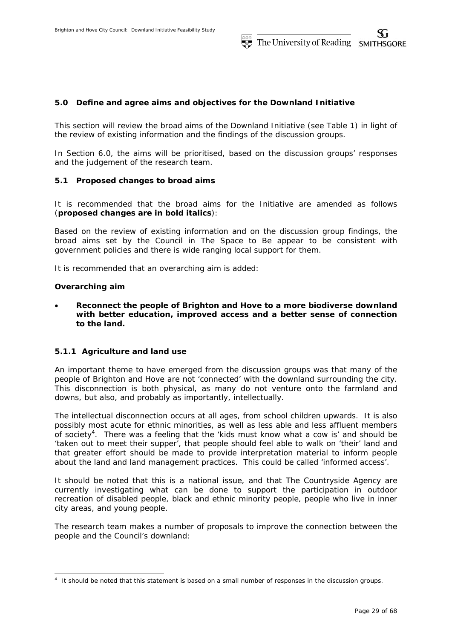# **5.0 Define and agree aims and objectives for the Downland Initiative**

This section will review the broad aims of the Downland Initiative (see Table 1) in light of the review of existing information and the findings of the discussion groups.

In Section 6.0, the aims will be prioritised, based on the discussion groups' responses and the judgement of the research team.

## **5.1 Proposed changes to broad aims**

It is recommended that the broad aims for the Initiative are amended as follows (*proposed changes are in bold italics*):

Based on the review of existing information and on the discussion group findings, the broad aims set by the Council in *The Space to Be* appear to be consistent with government policies and there is wide ranging local support for them.

It is recommended that an overarching aim is added:

### *Overarching aim*

-

 *Reconnect the people of Brighton and Hove to a more biodiverse downland with better education, improved access and a better sense of connection to the land.* 

## **5.1.1 Agriculture and land use**

An important theme to have emerged from the discussion groups was that many of the people of Brighton and Hove are not 'connected' with the downland surrounding the city. This disconnection is both physical, as many do not venture onto the farmland and downs, but also, and probably as importantly, intellectually.

The intellectual disconnection occurs at all ages, from school children upwards. It is also possibly most acute for ethnic minorities, as well as less able and less affluent members of society<sup>4</sup>. There was a feeling that the 'kids must know what a cow is' and should be 'taken out to meet their supper', that people should feel able to walk on 'their' land and that greater effort should be made to provide interpretation material to inform people about the land and land management practices. This could be called 'informed access'.

It should be noted that this is a national issue, and that The Countryside Agency are currently investigating what can be done to support the participation in outdoor recreation of disabled people, black and ethnic minority people, people who live in inner city areas, and young people.

The research team makes a number of proposals to improve the connection between the people and the Council's downland:

<sup>4</sup> It should be noted that this statement is based on a small number of responses in the discussion groups.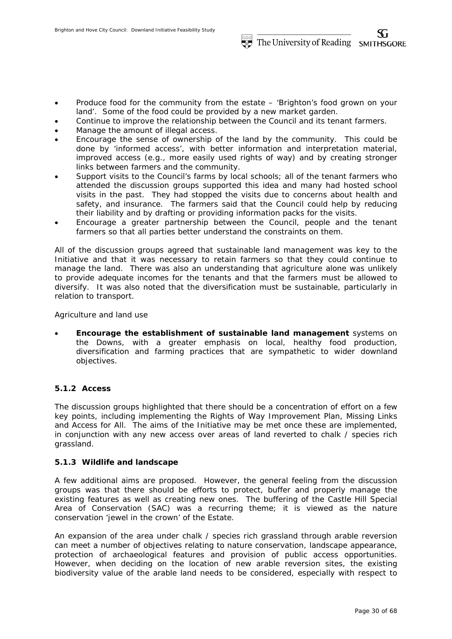- Produce food for the community from the estate 'Brighton's food grown on your land'. Some of the food could be provided by a new market garden.
- Continue to improve the relationship between the Council and its tenant farmers.
- Manage the amount of illegal access.
- Encourage the sense of ownership of the land by the community. This could be done by 'informed access', with better information and interpretation material, improved access (e.g., more easily used rights of way) and by creating stronger links between farmers and the community.
- Support visits to the Council's farms by local schools; all of the tenant farmers who attended the discussion groups supported this idea and many had hosted school visits in the past. They had stopped the visits due to concerns about health and safety, and insurance. The farmers said that the Council could help by reducing their liability and by drafting or providing information packs for the visits.
- Encourage a greater partnership between the Council, people and the tenant farmers so that all parties better understand the constraints on them.

All of the discussion groups agreed that sustainable land management was key to the Initiative and that it was necessary to retain farmers so that they could continue to manage the land. There was also an understanding that agriculture alone was unlikely to provide adequate incomes for the tenants and that the farmers must be allowed to diversify. It was also noted that the diversification must be sustainable, particularly in relation to transport.

Agriculture and land use

 *Encourage the establishment of sustainable land management* systems on the Downs, with a greater emphasis on local, healthy food production, diversification and farming practices that are sympathetic to wider downland objectives.

## **5.1.2 Access**

The discussion groups highlighted that there should be a concentration of effort on a few key points, including implementing the Rights of Way Improvement Plan, Missing Links and Access for All. The aims of the Initiative may be met once these are implemented, in conjunction with any new access over areas of land reverted to chalk / species rich grassland.

## **5.1.3 Wildlife and landscape**

A few additional aims are proposed. However, the general feeling from the discussion groups was that there should be efforts to protect, buffer and properly manage the existing features as well as creating new ones. The buffering of the Castle Hill Special Area of Conservation (SAC) was a recurring theme; it is viewed as the nature conservation 'jewel in the crown' of the Estate.

An expansion of the area under chalk / species rich grassland through arable reversion can meet a number of objectives relating to nature conservation, landscape appearance, protection of archaeological features and provision of public access opportunities. However, when deciding on the location of new arable reversion sites, the existing biodiversity value of the arable land needs to be considered, especially with respect to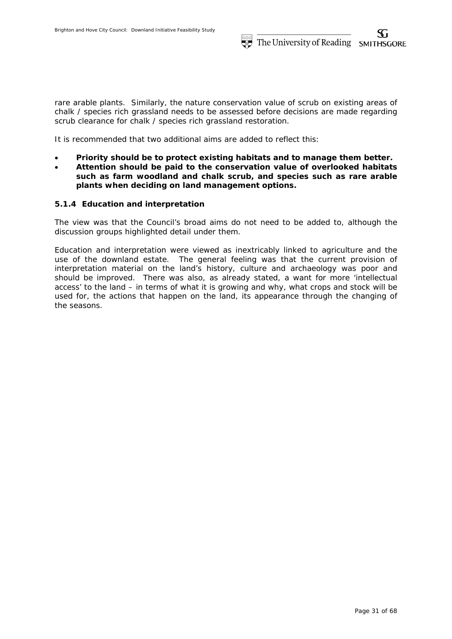rare arable plants. Similarly, the nature conservation value of scrub on existing areas of chalk / species rich grassland needs to be assessed before decisions are made regarding scrub clearance for chalk / species rich grassland restoration.

It is recommended that two additional aims are added to reflect this:

- *Priority should be to protect existing habitats and to manage them better.*
- *Attention should be paid to the conservation value of overlooked habitats such as farm woodland and chalk scrub, and species such as rare arable plants when deciding on land management options.*

# **5.1.4 Education and interpretation**

The view was that the Council's broad aims do not need to be added to, although the discussion groups highlighted detail under them.

Education and interpretation were viewed as inextricably linked to agriculture and the use of the downland estate. The general feeling was that the current provision of interpretation material on the land's history, culture and archaeology was poor and should be improved. There was also, as already stated, a want for more 'intellectual access' to the land – in terms of what it is growing and why, what crops and stock will be used for, the actions that happen on the land, its appearance through the changing of the seasons.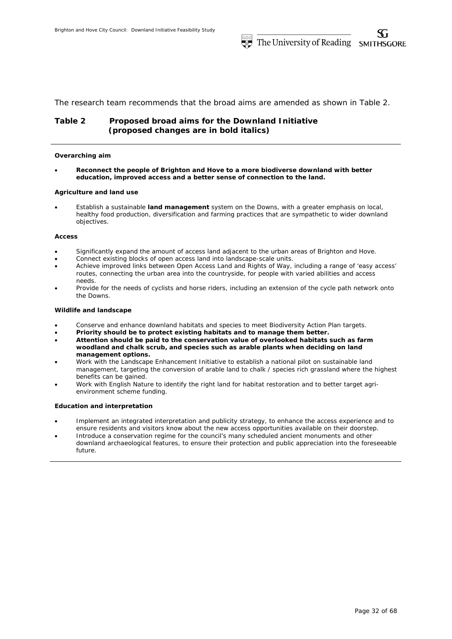The research team recommends that the broad aims are amended as shown in Table 2.

# **Table 2 Proposed broad aims for the Downland Initiative**  *(proposed changes are in bold italics)*

#### *Overarching aim*

 *Reconnect the people of Brighton and Hove to a more biodiverse downland with better education, improved access and a better sense of connection to the land.* 

#### **Agriculture and land use**

 Establish a sustainable *land management* system on the Downs, with a greater emphasis on local, healthy food production, diversification and farming practices that are sympathetic to wider downland objectives.

#### **Access**

- Significantly expand the amount of access land adjacent to the urban areas of Brighton and Hove.
- Connect existing blocks of open access land into landscape-scale units.
- Achieve improved links between Open Access Land and Rights of Way, including a range of 'easy access' routes, connecting the urban area into the countryside, for people with varied abilities and access needs.
- Provide for the needs of cyclists and horse riders, including an extension of the cycle path network onto the Downs.

#### **Wildlife and landscape**

- Conserve and enhance downland habitats and species to meet Biodiversity Action Plan targets.
- *Priority should be to protect existing habitats and to manage them better.*
- *Attention should be paid to the conservation value of overlooked habitats such as farm woodland and chalk scrub, and species such as arable plants when deciding on land management options.*
- Work with the Landscape Enhancement Initiative to establish a national pilot on sustainable land management, targeting the conversion of arable land to chalk / species rich grassland where the highest benefits can be gained.
- Work with English Nature to identify the right land for habitat restoration and to better target agrienvironment scheme funding.

#### **Education and interpretation**

- Implement an integrated interpretation and publicity strategy, to enhance the access experience and to ensure residents and visitors know about the new access opportunities available on their doorstep.
- Introduce a conservation regime for the council's many scheduled ancient monuments and other downland archaeological features, to ensure their protection and public appreciation into the foreseeable future.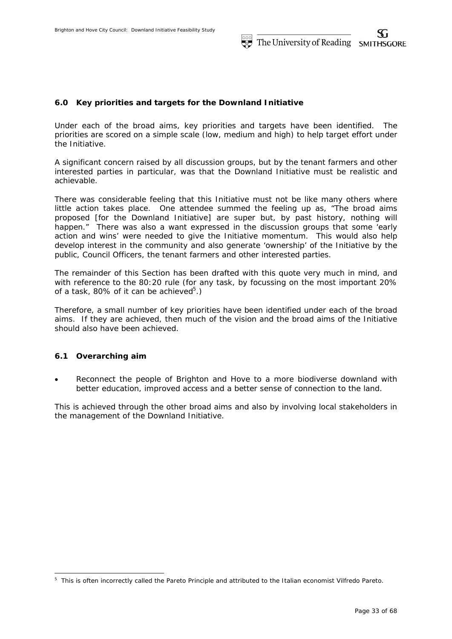# **6.0 Key priorities and targets for the Downland Initiative**

Under each of the broad aims, key priorities and targets have been identified. The priorities are scored on a simple scale (low, medium and high) to help target effort under the Initiative.

A significant concern raised by all discussion groups, but by the tenant farmers and other interested parties in particular, was that the Downland Initiative must be realistic and achievable.

There was considerable feeling that this Initiative must not be like many others where little action takes place. One attendee summed the feeling up as, "The broad aims proposed [for the Downland Initiative] are super but, by past history, nothing will happen." There was also a want expressed in the discussion groups that some 'early action and wins' were needed to give the Initiative momentum. This would also help develop interest in the community and also generate 'ownership' of the Initiative by the public, Council Officers, the tenant farmers and other interested parties.

The remainder of this Section has been drafted with this quote very much in mind, and with reference to the 80:20 rule (for any task, by focussing on the most important 20% of a task, 80% of it can be achieved $5$ .)

Therefore, a small number of key priorities have been identified under each of the broad aims. If they are achieved, then much of the vision and the broad aims of the Initiative should also have been achieved.

## **6.1 Overarching aim**

-

 *Reconnect the people of Brighton and Hove to a more biodiverse downland with better education, improved access and a better sense of connection to the land.* 

This is achieved through the other broad aims and also by involving local stakeholders in the management of the Downland Initiative.

<sup>&</sup>lt;sup>5</sup> This is often incorrectly called the Pareto Principle and attributed to the Italian economist Vilfredo Pareto.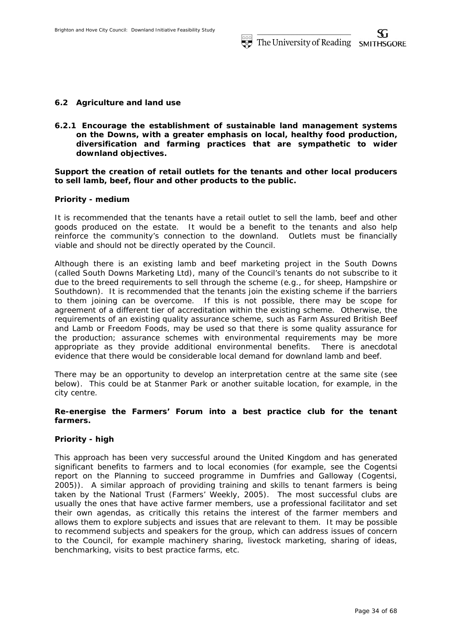## **6.2 Agriculture and land use**

**6.2.1 Encourage the establishment of sustainable land management systems on the Downs, with a greater emphasis on local, healthy food production, diversification and farming practices that are sympathetic to wider downland objectives.** 

**Support the creation of retail outlets for the tenants and other local producers to sell lamb, beef, flour and other products to the public.** 

### *Priority - medium*

It is recommended that the tenants have a retail outlet to sell the lamb, beef and other goods produced on the estate. It would be a benefit to the tenants and also help reinforce the community's connection to the downland. Outlets must be financially viable and should not be directly operated by the Council.

Although there is an existing lamb and beef marketing project in the South Downs (called South Downs Marketing Ltd), many of the Council's tenants do not subscribe to it due to the breed requirements to sell through the scheme (e.g., for sheep, Hampshire or Southdown). It is recommended that the tenants join the existing scheme if the barriers to them joining can be overcome. If this is not possible, there may be scope for agreement of a different tier of accreditation within the existing scheme. Otherwise, the requirements of an existing quality assurance scheme, such as Farm Assured British Beef and Lamb or Freedom Foods, may be used so that there is some quality assurance for the production; assurance schemes with environmental requirements may be more appropriate as they provide additional environmental benefits. There is anecdotal evidence that there would be considerable local demand for downland lamb and beef.

There may be an opportunity to develop an interpretation centre at the same site (see below). This could be at Stanmer Park or another suitable location, for example, in the city centre.

# **Re-energise the Farmers' Forum into a best practice club for the tenant farmers.**

## *Priority - high*

This approach has been very successful around the United Kingdom and has generated significant benefits to farmers and to local economies (for example, see the Cogentsi report on the Planning to succeed programme in Dumfries and Galloway (Cogentsi, 2005)). A similar approach of providing training and skills to tenant farmers is being taken by the National Trust (Farmers' Weekly, 2005). The most successful clubs are usually the ones that have active farmer members, use a professional facilitator and set their own agendas, as critically this retains the interest of the farmer members and allows them to explore subjects and issues that are relevant to them. It may be possible to recommend subjects and speakers for the group, which can address issues of concern to the Council, for example machinery sharing, livestock marketing, sharing of ideas, benchmarking, visits to best practice farms, etc.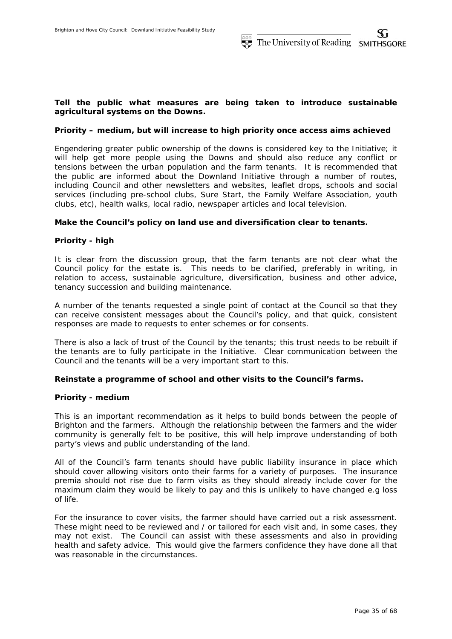## **Tell the public what measures are being taken to introduce sustainable agricultural systems on the Downs.**

### *Priority – medium, but will increase to high priority once access aims achieved*

Engendering greater public ownership of the downs is considered key to the Initiative; it will help get more people using the Downs and should also reduce any conflict or tensions between the urban population and the farm tenants. It is recommended that the public are informed about the Downland Initiative through a number of routes, including Council and other newsletters and websites, leaflet drops, schools and social services (including pre-school clubs, Sure Start, the Family Welfare Association, youth clubs, etc), health walks, local radio, newspaper articles and local television.

### **Make the Council's policy on land use and diversification clear to tenants.**

## *Priority - high*

It is clear from the discussion group, that the farm tenants are not clear what the Council policy for the estate is. This needs to be clarified, preferably in writing, in relation to access, sustainable agriculture, diversification, business and other advice, tenancy succession and building maintenance.

A number of the tenants requested a single point of contact at the Council so that they can receive consistent messages about the Council's policy, and that quick, consistent responses are made to requests to enter schemes or for consents.

There is also a lack of trust of the Council by the tenants; this trust needs to be rebuilt if the tenants are to fully participate in the Initiative. Clear communication between the Council and the tenants will be a very important start to this.

### **Reinstate a programme of school and other visits to the Council's farms.**

### *Priority - medium*

This is an important recommendation as it helps to build bonds between the people of Brighton and the farmers. Although the relationship between the farmers and the wider community is generally felt to be positive, this will help improve understanding of both party's views and public understanding of the land.

All of the Council's farm tenants should have public liability insurance in place which should cover allowing visitors onto their farms for a variety of purposes. The insurance premia should not rise due to farm visits as they should already include cover for the maximum claim they would be likely to pay and this is unlikely to have changed e.g loss of life.

For the insurance to cover visits, the farmer should have carried out a risk assessment. These might need to be reviewed and / or tailored for each visit and, in some cases, they may not exist. The Council can assist with these assessments and also in providing health and safety advice. This would give the farmers confidence they have done all that was reasonable in the circumstances.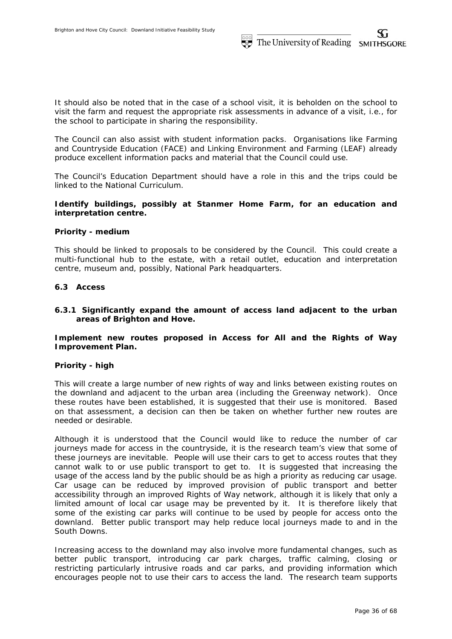It should also be noted that in the case of a school visit, it is beholden on the school to visit the farm and request the appropriate risk assessments in advance of a visit, i.e., for the school to participate in sharing the responsibility.

The Council can also assist with student information packs. Organisations like Farming and Countryside Education (FACE) and Linking Environment and Farming (LEAF) already produce excellent information packs and material that the Council could use.

The Council's Education Department should have a role in this and the trips could be linked to the National Curriculum.

# **Identify buildings, possibly at Stanmer Home Farm, for an education and interpretation centre.**

## *Priority - medium*

This should be linked to proposals to be considered by the Council. This could create a multi-functional hub to the estate, with a retail outlet, education and interpretation centre, museum and, possibly, National Park headquarters.

## **6.3 Access**

# **6.3.1 Significantly expand the amount of access land adjacent to the urban areas of Brighton and Hove.**

**Implement new routes proposed in Access for All and the Rights of Way Improvement Plan.** 

## *Priority - high*

This will create a large number of new rights of way and links between existing routes on the downland and adjacent to the urban area (including the Greenway network). Once these routes have been established, it is suggested that their use is monitored. Based on that assessment, a decision can then be taken on whether further new routes are needed or desirable.

Although it is understood that the Council would like to reduce the number of car journeys made for access in the countryside, it is the research team's view that some of these journeys are inevitable. People will use their cars to get to access routes that they cannot walk to or use public transport to get to. It is suggested that increasing the usage of the access land by the public should be as high a priority as reducing car usage. Car usage can be reduced by improved provision of public transport and better accessibility through an improved Rights of Way network, although it is likely that only a limited amount of local car usage may be prevented by it. It is therefore likely that some of the existing car parks will continue to be used by people for access onto the downland. Better public transport may help reduce local journeys made to and in the South Downs.

Increasing access to the downland may also involve more fundamental changes, such as better public transport, introducing car park charges, traffic calming, closing or restricting particularly intrusive roads and car parks, and providing information which encourages people not to use their cars to access the land. The research team supports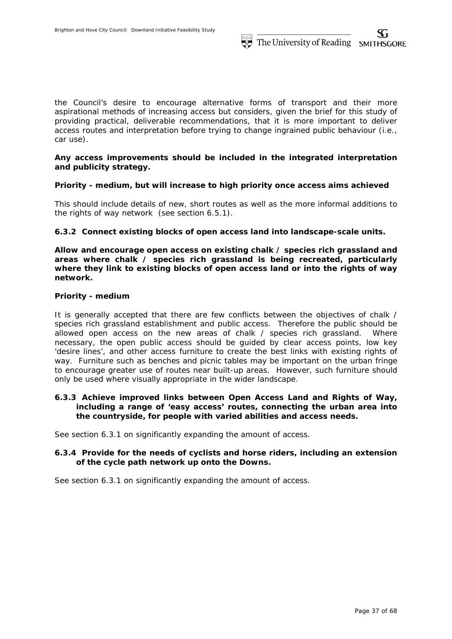the Council's desire to encourage alternative forms of transport and their more aspirational methods of increasing access but considers, given the brief for this study of providing practical, deliverable recommendations, that it is more important to deliver access routes and interpretation before trying to change ingrained public behaviour (i.e., car use).

# **Any access improvements should be included in the integrated interpretation and publicity strategy.**

# *Priority - medium, but will increase to high priority once access aims achieved*

This should include details of new, short routes as well as the more informal additions to the rights of way network (see section 6.5.1).

# **6.3.2 Connect existing blocks of open access land into landscape-scale units.**

**Allow and encourage open access on existing chalk / species rich grassland and areas where chalk / species rich grassland is being recreated, particularly where they link to existing blocks of open access land or into the rights of way network.** 

## *Priority - medium*

It is generally accepted that there are few conflicts between the objectives of chalk / species rich grassland establishment and public access. Therefore the public should be allowed open access on the new areas of chalk / species rich grassland. Where necessary, the open public access should be guided by clear access points, low key 'desire lines', and other access furniture to create the best links with existing rights of way. Furniture such as benches and picnic tables may be important on the urban fringe to encourage greater use of routes near built-up areas. However, such furniture should only be used where visually appropriate in the wider landscape.

# **6.3.3 Achieve improved links between Open Access Land and Rights of Way, including a range of 'easy access' routes, connecting the urban area into the countryside, for people with varied abilities and access needs.**

See section 6.3.1 on significantly expanding the amount of access.

# **6.3.4 Provide for the needs of cyclists and horse riders, including an extension of the cycle path network up onto the Downs.**

See section 6.3.1 on significantly expanding the amount of access.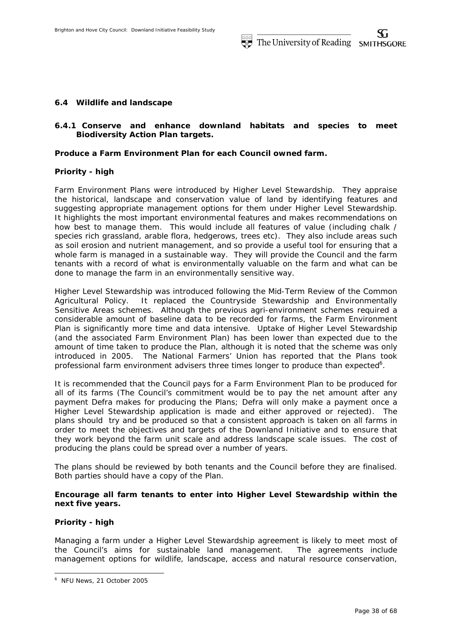## **6.4 Wildlife and landscape**

# **6.4.1 Conserve and enhance downland habitats and species to meet Biodiversity Action Plan targets.**

## **Produce a Farm Environment Plan for each Council owned farm.**

### *Priority - high*

Farm Environment Plans were introduced by Higher Level Stewardship. They appraise the historical, landscape and conservation value of land by identifying features and suggesting appropriate management options for them under Higher Level Stewardship. It highlights the most important environmental features and makes recommendations on how best to manage them. This would include all features of value (including chalk / species rich grassland, arable flora, hedgerows, trees etc). They also include areas such as soil erosion and nutrient management, and so provide a useful tool for ensuring that a whole farm is managed in a sustainable way. They will provide the Council and the farm tenants with a record of what is environmentally valuable on the farm and what can be done to manage the farm in an environmentally sensitive way.

Higher Level Stewardship was introduced following the Mid-Term Review of the Common Agricultural Policy. It replaced the Countryside Stewardship and Environmentally Sensitive Areas schemes. Although the previous agri-environment schemes required a considerable amount of baseline data to be recorded for farms, the Farm Environment Plan is significantly more time and data intensive. Uptake of Higher Level Stewardship (and the associated Farm Environment Plan) has been lower than expected due to the amount of time taken to produce the Plan, although it is noted that the scheme was only introduced in 2005. The National Farmers' Union has reported that the Plans took professional farm environment advisers three times longer to produce than expected<sup>6</sup>.

It is recommended that the Council pays for a Farm Environment Plan to be produced for all of its farms (The Council's commitment would be to pay the net amount after any payment Defra makes for producing the Plans; Defra will only make a payment once a Higher Level Stewardship application is made and either approved or rejected). The plans should try and be produced so that a consistent approach is taken on all farms in order to meet the objectives and targets of the Downland Initiative and to ensure that they work beyond the farm unit scale and address landscape scale issues. The cost of producing the plans could be spread over a number of years.

The plans should be reviewed by both tenants and the Council before they are finalised. Both parties should have a copy of the Plan.

# **Encourage all farm tenants to enter into Higher Level Stewardship within the next five years.**

# *Priority - high*

-

Managing a farm under a Higher Level Stewardship agreement is likely to meet most of the Council's aims for sustainable land management. The agreements include management options for wildlife, landscape, access and natural resource conservation,

<sup>6</sup> NFU News, 21 October 2005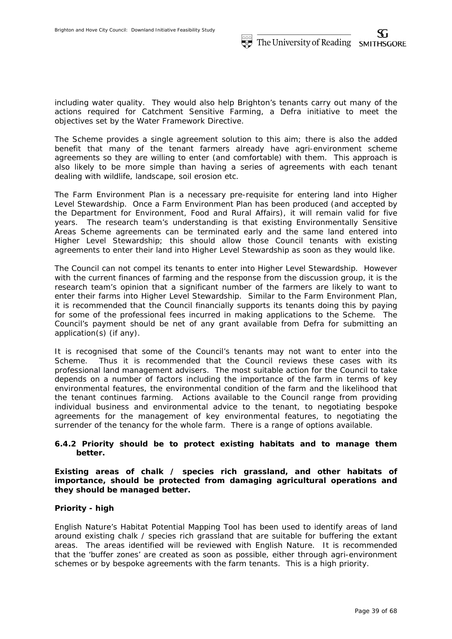including water quality. They would also help Brighton's tenants carry out many of the actions required for Catchment Sensitive Farming, a Defra initiative to meet the objectives set by the Water Framework Directive.

The Scheme provides a single agreement solution to this aim; there is also the added benefit that many of the tenant farmers already have agri-environment scheme agreements so they are willing to enter (and comfortable) with them. This approach is also likely to be more simple than having a series of agreements with each tenant dealing with wildlife, landscape, soil erosion etc.

The Farm Environment Plan is a necessary pre-requisite for entering land into Higher Level Stewardship. Once a Farm Environment Plan has been produced (and accepted by the Department for Environment, Food and Rural Affairs), it will remain valid for five years. The research team's understanding is that existing Environmentally Sensitive Areas Scheme agreements can be terminated early and the same land entered into Higher Level Stewardship; this should allow those Council tenants with existing agreements to enter their land into Higher Level Stewardship as soon as they would like.

The Council can not compel its tenants to enter into Higher Level Stewardship. However with the current finances of farming and the response from the discussion group, it is the research team's opinion that a significant number of the farmers are likely to want to enter their farms into Higher Level Stewardship. Similar to the Farm Environment Plan, it is recommended that the Council financially supports its tenants doing this by paying for some of the professional fees incurred in making applications to the Scheme. The Council's payment should be net of any grant available from Defra for submitting an application(s) (if any).

It is recognised that some of the Council's tenants may not want to enter into the Scheme. Thus it is recommended that the Council reviews these cases with its professional land management advisers. The most suitable action for the Council to take depends on a number of factors including the importance of the farm in terms of key environmental features, the environmental condition of the farm and the likelihood that the tenant continues farming. Actions available to the Council range from providing individual business and environmental advice to the tenant, to negotiating bespoke agreements for the management of key environmental features, to negotiating the surrender of the tenancy for the whole farm. There is a range of options available.

# **6.4.2 Priority should be to protect existing habitats and to manage them better.**

**Existing areas of chalk / species rich grassland, and other habitats of importance, should be protected from damaging agricultural operations and they should be managed better.** 

# *Priority - high*

English Nature's Habitat Potential Mapping Tool has been used to identify areas of land around existing chalk / species rich grassland that are suitable for buffering the extant areas. The areas identified will be reviewed with English Nature. It is recommended that the 'buffer zones' are created as soon as possible, either through agri-environment schemes or by bespoke agreements with the farm tenants. This is a high priority.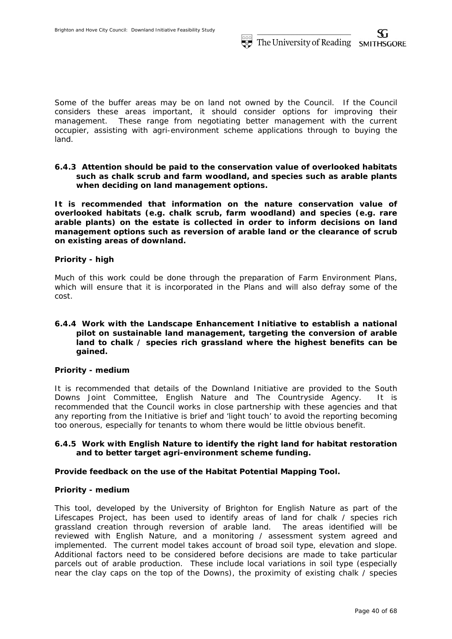Some of the buffer areas may be on land not owned by the Council. If the Council considers these areas important, it should consider options for improving their management. These range from negotiating better management with the current occupier, assisting with agri-environment scheme applications through to buying the land.

**6.4.3 Attention should be paid to the conservation value of overlooked habitats such as chalk scrub and farm woodland, and species such as arable plants when deciding on land management options.** 

**It is recommended that information on the nature conservation value of overlooked habitats (e.g. chalk scrub, farm woodland) and species (e.g. rare arable plants) on the estate is collected in order to inform decisions on land management options such as reversion of arable land or the clearance of scrub on existing areas of downland.** 

# *Priority - high*

Much of this work could be done through the preparation of Farm Environment Plans, which will ensure that it is incorporated in the Plans and will also defray some of the cost.

## **6.4.4 Work with the Landscape Enhancement Initiative to establish a national pilot on sustainable land management, targeting the conversion of arable land to chalk / species rich grassland where the highest benefits can be gained.**

## *Priority - medium*

It is recommended that details of the Downland Initiative are provided to the South Downs Joint Committee, English Nature and The Countryside Agency. It is recommended that the Council works in close partnership with these agencies and that any reporting from the Initiative is brief and 'light touch' to avoid the reporting becoming too onerous, especially for tenants to whom there would be little obvious benefit.

# **6.4.5 Work with English Nature to identify the right land for habitat restoration and to better target agri-environment scheme funding.**

## **Provide feedback on the use of the Habitat Potential Mapping Tool.**

## *Priority - medium*

This tool, developed by the University of Brighton for English Nature as part of the Lifescapes Project, has been used to identify areas of land for chalk / species rich grassland creation through reversion of arable land. The areas identified will be reviewed with English Nature, and a monitoring / assessment system agreed and implemented. The current model takes account of broad soil type, elevation and slope. Additional factors need to be considered before decisions are made to take particular parcels out of arable production. These include local variations in soil type (especially near the clay caps on the top of the Downs), the proximity of existing chalk / species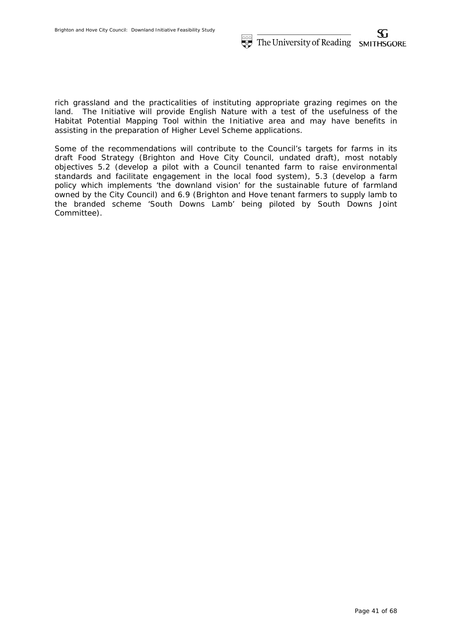rich grassland and the practicalities of instituting appropriate grazing regimes on the land. The Initiative will provide English Nature with a test of the usefulness of the Habitat Potential Mapping Tool within the Initiative area and may have benefits in assisting in the preparation of Higher Level Scheme applications.

Some of the recommendations will contribute to the Council's targets for farms in its draft Food Strategy (Brighton and Hove City Council, undated draft), most notably objectives 5.2 (develop a pilot with a Council tenanted farm to raise environmental standards and facilitate engagement in the local food system), 5.3 (develop a farm policy which implements 'the downland vision' for the sustainable future of farmland owned by the City Council) and 6.9 (Brighton and Hove tenant farmers to supply lamb to the branded scheme 'South Downs Lamb' being piloted by South Downs Joint Committee).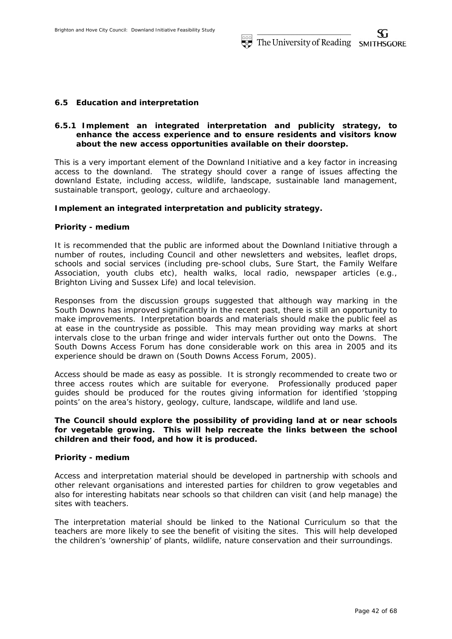## **6.5 Education and interpretation**

# **6.5.1 Implement an integrated interpretation and publicity strategy, to enhance the access experience and to ensure residents and visitors know about the new access opportunities available on their doorstep.**

This is a very important element of the Downland Initiative and a key factor in increasing access to the downland. The strategy should cover a range of issues affecting the downland Estate, including access, wildlife, landscape, sustainable land management, sustainable transport, geology, culture and archaeology.

## **Implement an integrated interpretation and publicity strategy.**

## *Priority - medium*

It is recommended that the public are informed about the Downland Initiative through a number of routes, including Council and other newsletters and websites, leaflet drops, schools and social services (including pre-school clubs, Sure Start, the Family Welfare Association, youth clubs etc), health walks, local radio, newspaper articles (e.g., Brighton Living and Sussex Life) and local television.

Responses from the discussion groups suggested that although way marking in the South Downs has improved significantly in the recent past, there is still an opportunity to make improvements. Interpretation boards and materials should make the public feel as at ease in the countryside as possible. This may mean providing way marks at short intervals close to the urban fringe and wider intervals further out onto the Downs. The South Downs Access Forum has done considerable work on this area in 2005 and its experience should be drawn on (South Downs Access Forum, 2005).

Access should be made as easy as possible. It is strongly recommended to create two or three access routes which are suitable for everyone. Professionally produced paper guides should be produced for the routes giving information for identified 'stopping points' on the area's history, geology, culture, landscape, wildlife and land use.

# **The Council should explore the possibility of providing land at or near schools for vegetable growing. This will help recreate the links between the school children and their food, and how it is produced.**

### *Priority - medium*

Access and interpretation material should be developed in partnership with schools and other relevant organisations and interested parties for children to grow vegetables and also for interesting habitats near schools so that children can visit (and help manage) the sites with teachers.

The interpretation material should be linked to the National Curriculum so that the teachers are more likely to see the benefit of visiting the sites. This will help developed the children's 'ownership' of plants, wildlife, nature conservation and their surroundings.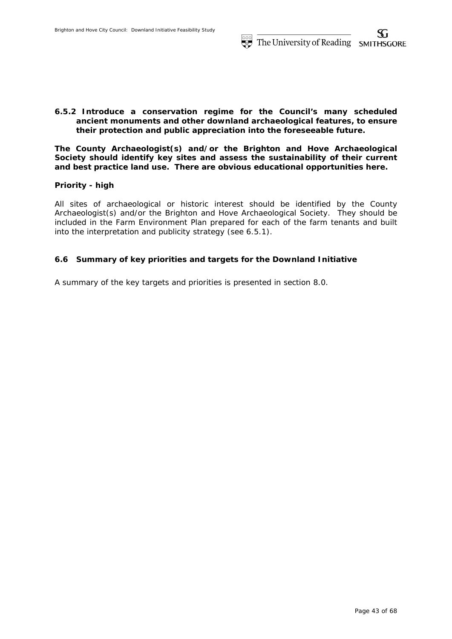# **6.5.2 Introduce a conservation regime for the Council's many scheduled ancient monuments and other downland archaeological features, to ensure their protection and public appreciation into the foreseeable future.**

**The County Archaeologist(s) and/or the Brighton and Hove Archaeological Society should identify key sites and assess the sustainability of their current and best practice land use. There are obvious educational opportunities here.** 

# *Priority - high*

All sites of archaeological or historic interest should be identified by the County Archaeologist(s) and/or the Brighton and Hove Archaeological Society. They should be included in the Farm Environment Plan prepared for each of the farm tenants and built into the interpretation and publicity strategy (see 6.5.1).

# **6.6 Summary of key priorities and targets for the Downland Initiative**

A summary of the key targets and priorities is presented in section 8.0.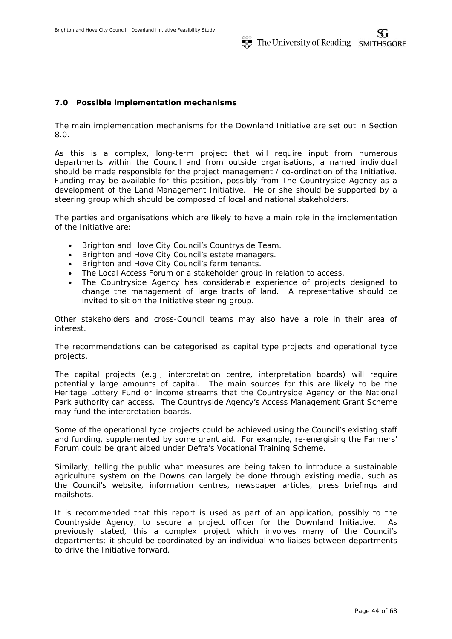# **7.0 Possible implementation mechanisms**

The main implementation mechanisms for the Downland Initiative are set out in Section 8.0.

As this is a complex, long-term project that will require input from numerous departments within the Council and from outside organisations, a named individual should be made responsible for the project management / co-ordination of the Initiative. Funding may be available for this position, possibly from The Countryside Agency as a development of the Land Management Initiative. He or she should be supported by a steering group which should be composed of local and national stakeholders.

The parties and organisations which are likely to have a main role in the implementation of the Initiative are:

- Brighton and Hove City Council's Countryside Team.
- Brighton and Hove City Council's estate managers.
- Brighton and Hove City Council's farm tenants.
- The Local Access Forum or a stakeholder group in relation to access.
- The Countryside Agency has considerable experience of projects designed to change the management of large tracts of land. A representative should be invited to sit on the Initiative steering group.

Other stakeholders and cross-Council teams may also have a role in their area of interest.

The recommendations can be categorised as capital type projects and operational type projects.

The capital projects (e.g., interpretation centre, interpretation boards) will require potentially large amounts of capital. The main sources for this are likely to be the Heritage Lottery Fund or income streams that the Countryside Agency or the National Park authority can access. The Countryside Agency's Access Management Grant Scheme may fund the interpretation boards.

Some of the operational type projects could be achieved using the Council's existing staff and funding, supplemented by some grant aid. For example, re-energising the Farmers' Forum could be grant aided under Defra's Vocational Training Scheme.

Similarly, telling the public what measures are being taken to introduce a sustainable agriculture system on the Downs can largely be done through existing media, such as the Council's website, information centres, newspaper articles, press briefings and mailshots.

It is recommended that this report is used as part of an application, possibly to the Countryside Agency, to secure a project officer for the Downland Initiative. As previously stated, this a complex project which involves many of the Council's departments; it should be coordinated by an individual who liaises between departments to drive the Initiative forward.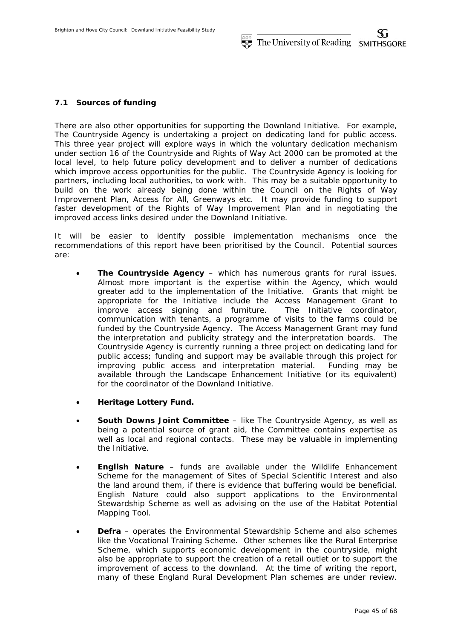## **7.1 Sources of funding**

There are also other opportunities for supporting the Downland Initiative. For example, The Countryside Agency is undertaking a project on dedicating land for public access. This three year project will explore ways in which the voluntary dedication mechanism under section 16 of the Countryside and Rights of Way Act 2000 can be promoted at the local level, to help future policy development and to deliver a number of dedications which improve access opportunities for the public. The Countryside Agency is looking for partners, including local authorities, to work with. This may be a suitable opportunity to build on the work already being done within the Council on the Rights of Way Improvement Plan, Access for All, Greenways etc. It may provide funding to support faster development of the Rights of Way Improvement Plan and in negotiating the improved access links desired under the Downland Initiative.

It will be easier to identify possible implementation mechanisms once the recommendations of this report have been prioritised by the Council. Potential sources are:

- **The Countryside Agency** which has numerous grants for rural issues. Almost more important is the expertise within the Agency, which would greater add to the implementation of the Initiative. Grants that might be appropriate for the Initiative include the Access Management Grant to improve access signing and furniture. The Initiative coordinator, communication with tenants, a programme of visits to the farms could be funded by the Countryside Agency. The Access Management Grant may fund the interpretation and publicity strategy and the interpretation boards. The Countryside Agency is currently running a three project on dedicating land for public access; funding and support may be available through this project for improving public access and interpretation material. Funding may be available through the Landscape Enhancement Initiative (or its equivalent) for the coordinator of the Downland Initiative.
- **Heritage Lottery Fund.**
- **South Downs Joint Committee** like The Countryside Agency, as well as being a potential source of grant aid, the Committee contains expertise as well as local and regional contacts. These may be valuable in implementing the Initiative.
- **English Nature** funds are available under the Wildlife Enhancement Scheme for the management of Sites of Special Scientific Interest and also the land around them, if there is evidence that buffering would be beneficial. English Nature could also support applications to the Environmental Stewardship Scheme as well as advising on the use of the Habitat Potential Mapping Tool.
- **Defra** operates the Environmental Stewardship Scheme and also schemes like the Vocational Training Scheme. Other schemes like the Rural Enterprise Scheme, which supports economic development in the countryside, might also be appropriate to support the creation of a retail outlet or to support the improvement of access to the downland. At the time of writing the report, many of these England Rural Development Plan schemes are under review.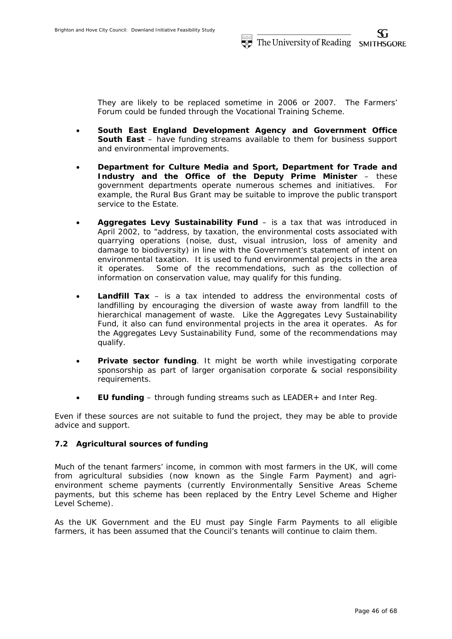They are likely to be replaced sometime in 2006 or 2007. The Farmers' Forum could be funded through the Vocational Training Scheme.

- **South East England Development Agency and Government Office South East** – have funding streams available to them for business support and environmental improvements.
- **Department for Culture Media and Sport, Department for Trade and Industry and the Office of the Deputy Prime Minister** – these government departments operate numerous schemes and initiatives. For example, the Rural Bus Grant may be suitable to improve the public transport service to the Estate.
- **Aggregates Levy Sustainability Fund** is a tax that was introduced in April 2002, to "address, by taxation, the environmental costs associated with quarrying operations (noise, dust, visual intrusion, loss of amenity and damage to biodiversity) in line with the Government's statement of intent on environmental taxation. It is used to fund environmental projects in the area it operates. Some of the recommendations, such as the collection of information on conservation value, may qualify for this funding.
- **Landfill Tax** is a tax intended to address the environmental costs of landfilling by encouraging the diversion of waste away from landfill to the hierarchical management of waste. Like the Aggregates Levy Sustainability Fund, it also can fund environmental projects in the area it operates. As for the Aggregates Levy Sustainability Fund, some of the recommendations may qualify.
- **Private sector funding**. It might be worth while investigating corporate sponsorship as part of larger organisation corporate & social responsibility requirements.
- **EU funding** through funding streams such as LEADER+ and Inter Reg.

Even if these sources are not suitable to fund the project, they may be able to provide advice and support.

# **7.2 Agricultural sources of funding**

Much of the tenant farmers' income, in common with most farmers in the UK, will come from agricultural subsidies (now known as the Single Farm Payment) and agrienvironment scheme payments (currently Environmentally Sensitive Areas Scheme payments, but this scheme has been replaced by the Entry Level Scheme and Higher Level Scheme).

As the UK Government and the EU must pay Single Farm Payments to all eligible farmers, it has been assumed that the Council's tenants will continue to claim them.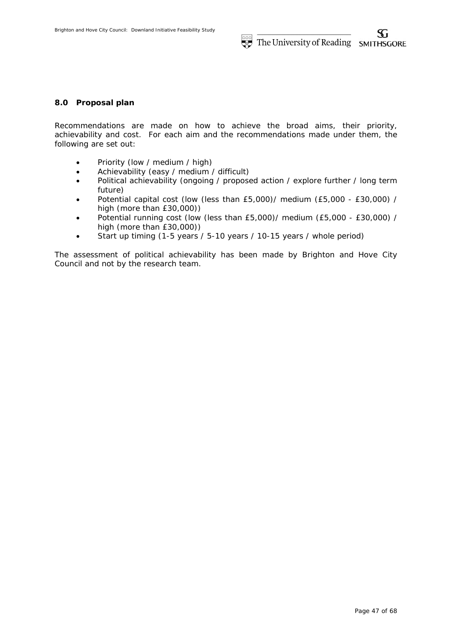# **8.0 Proposal plan**

Recommendations are made on how to achieve the broad aims, their priority, achievability and cost. For each aim and the recommendations made under them, the following are set out:

- Priority (low / medium / high)
- Achievability (easy / medium / difficult)
- Political achievability (ongoing / proposed action / explore further / long term future)
- Potential capital cost (low (less than £5,000)/ medium (£5,000 £30,000) / high (more than £30,000))
- Potential running cost (low (less than £5,000)/ medium (£5,000 £30,000) / high (more than £30,000))
- Start up timing (1-5 years / 5-10 years / 10-15 years / whole period)

The assessment of political achievability has been made by Brighton and Hove City Council and not by the research team.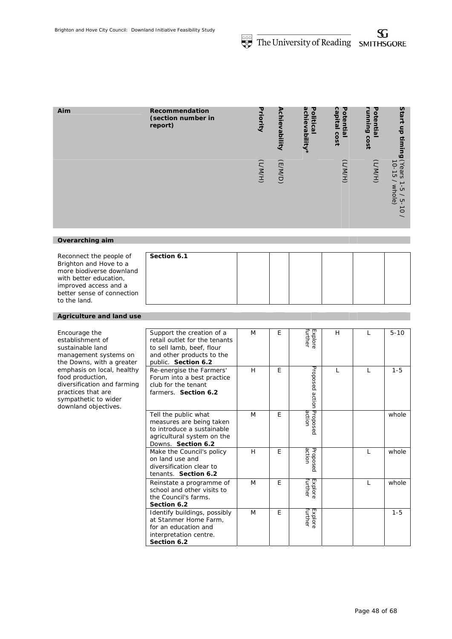| Aim             | Recommendation<br>(section number in<br>report) | Priority | Achievability | achievability*<br>Political | capital<br>Potential<br>cost | 공<br><b>Bujuun</b><br>ወ<br>⋾<br>릆<br>cost | Start<br>듬<br>timing                                                                                                                             |
|-----------------|-------------------------------------------------|----------|---------------|-----------------------------|------------------------------|-------------------------------------------|--------------------------------------------------------------------------------------------------------------------------------------------------|
|                 |                                                 | (H/M)    | (F/M/D)       |                             | (H/MYT)                      | (H/M)                                     | (Years<br>$10 - 15$<br>→<br>whole)<br>$\mathop{\mathsf{G}}\nolimits$<br>$\overline{\phantom{a}}$<br>ပှာ<br>$\vec{o}$<br>$\overline{\phantom{0}}$ |
|                 |                                                 |          |               |                             |                              |                                           |                                                                                                                                                  |
| Overarching aim |                                                 |          |               |                             |                              |                                           |                                                                                                                                                  |

| Reconnect the people of    | Section 6.1 |  |  |  |
|----------------------------|-------------|--|--|--|
| Brighton and Hove to a     |             |  |  |  |
| more biodiverse downland   |             |  |  |  |
| with better education,     |             |  |  |  |
| improved access and a      |             |  |  |  |
| better sense of connection |             |  |  |  |
| to the land.               |             |  |  |  |

### *Agriculture and land use*

| Encourage the<br>establishment of<br>sustainable land<br>management systems on<br>the Downs, with a greater                                         | Support the creation of a<br>retail outlet for the tenants<br>to sell lamb, beef, flour<br>and other products to the<br>public. Section 6.2 | M | E | Explore<br>Further | H |   | $5 - 10$ |
|-----------------------------------------------------------------------------------------------------------------------------------------------------|---------------------------------------------------------------------------------------------------------------------------------------------|---|---|--------------------|---|---|----------|
| emphasis on local, healthy<br>food production,<br>diversification and farming<br>practices that are<br>sympathetic to wider<br>downland objectives. | Re-energise the Farmers'<br>Forum into a best practice<br>club for the tenant<br>farmers. Section 6.2                                       | H | E | Proposed<br>action |   | L | $1 - 5$  |
|                                                                                                                                                     | Tell the public what<br>measures are being taken<br>to introduce a sustainable<br>agricultural system on the<br>Downs. Section 6.2          | M | E | Proposec<br>action |   |   | whole    |
|                                                                                                                                                     | Make the Council's policy<br>on land use and<br>diversification clear to<br>tenants. Section 6.2                                            | H | E | action<br>Proposed |   | T | whole    |
|                                                                                                                                                     | Reinstate a programme of<br>school and other visits to<br>the Council's farms.<br>Section 6.2                                               | M | E | further<br>Explore |   | L | whole    |
|                                                                                                                                                     | Identify buildings, possibly<br>at Stanmer Home Farm,<br>for an education and<br>interpretation centre.<br>Section 6.2                      | M | E | further<br>Explore |   |   | $1 - 5$  |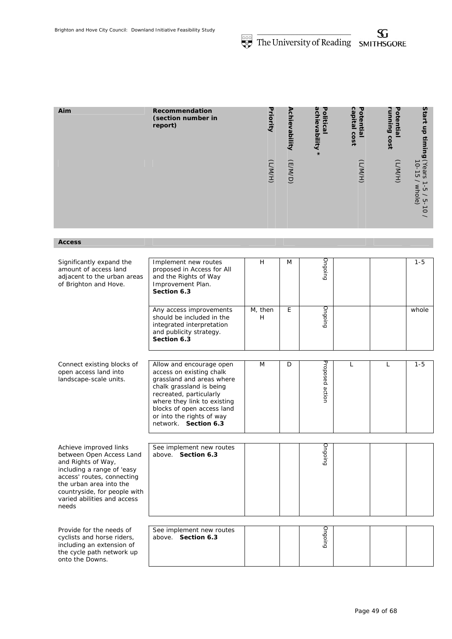| Aim | Recommendation<br>(section number in<br>report) | Priority | Achievability | achievability<br>Fo<br>Ē<br><b>Cal</b><br>$\ast$ | ຕ<br>ह<br>نف<br>pita<br>ē<br>co<br>$rac{1}{2}$ | 공<br>Φ<br>E.<br>릆<br>$\omega$<br>ດ<br>iso | Start<br>등<br>$\frac{1}{3}$<br>ω                                                                              |
|-----|-------------------------------------------------|----------|---------------|--------------------------------------------------|------------------------------------------------|-------------------------------------------|---------------------------------------------------------------------------------------------------------------|
|     |                                                 | (H/MYT)  | (F/M/D)       |                                                  | (H/MYT)                                        | (H/W)                                     | R<br>Ò<br>ears<br><b>CT</b><br>whole)<br>ů<br>$\checkmark$<br>្មា<br>د<br>$\circ$<br>$\overline{\phantom{0}}$ |

*Access* 

| Significantly expand the<br>amount of access land<br>adjacent to the urban areas<br>of Brighton and Hove.                                                                                                                               | Implement new routes<br>proposed in Access for All<br>and the Rights of Way<br>Improvement Plan.<br>Section 6.3                                                                                                                                            | H            | M | Ongoinc         |   |              | $1 - 5$ |
|-----------------------------------------------------------------------------------------------------------------------------------------------------------------------------------------------------------------------------------------|------------------------------------------------------------------------------------------------------------------------------------------------------------------------------------------------------------------------------------------------------------|--------------|---|-----------------|---|--------------|---------|
|                                                                                                                                                                                                                                         | Any access improvements<br>should be included in the<br>integrated interpretation<br>and publicity strategy.<br>Section 6.3                                                                                                                                | M, then<br>H | E | Ongoing         |   |              | whole   |
| Connect existing blocks of<br>open access land into<br>landscape-scale units.                                                                                                                                                           | Allow and encourage open<br>access on existing chalk<br>grassland and areas where<br>chalk grassland is being<br>recreated, particularly<br>where they link to existing<br>blocks of open access land<br>or into the rights of way<br>network. Section 6.3 | M            | D | Proposed action | L | $\mathbf{L}$ | $1 - 5$ |
| Achieve improved links<br>between Open Access Land<br>and Rights of Way,<br>including a range of 'easy<br>access' routes, connecting<br>the urban area into the<br>countryside, for people with<br>varied abilities and access<br>needs | See implement new routes<br>above. Section 6.3                                                                                                                                                                                                             |              |   | Ongoing         |   |              |         |
| Provide for the needs of<br>cyclists and horse riders,<br>including an extension of<br>the cycle path network up<br>onto the Downs.                                                                                                     | See implement new routes<br>above. Section 6.3                                                                                                                                                                                                             |              |   | Ongoing         |   |              |         |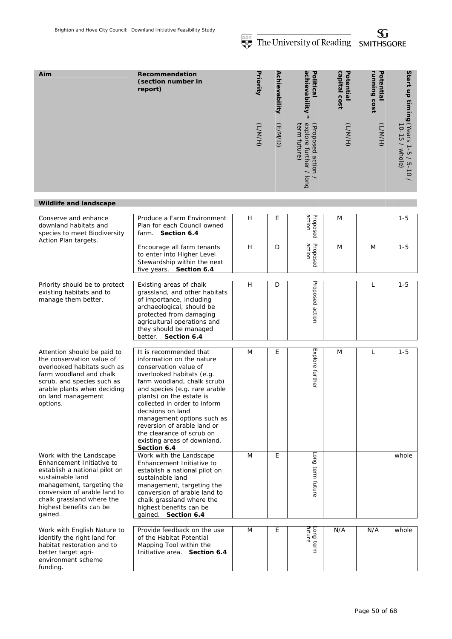S

**Start up timing** 

10-15 / whole) (Years 1-5 / 5-10 /

Start up timing (Years 1-5 / 5-10 /<br>Start up timing (Years 1-5 / 5-10 /

|                                                                                                                                                                                                       |                                                                                                                                                                                                                              |                           |               | THE UNIVERSITY OF REGUILIS                                    |                           | <b>SIMITITISUUNE</b>      |                                                                         |
|-------------------------------------------------------------------------------------------------------------------------------------------------------------------------------------------------------|------------------------------------------------------------------------------------------------------------------------------------------------------------------------------------------------------------------------------|---------------------------|---------------|---------------------------------------------------------------|---------------------------|---------------------------|-------------------------------------------------------------------------|
| Aim                                                                                                                                                                                                   | Recommendation<br>(section number in<br>report)                                                                                                                                                                              | Priority                  | Achievability | achievability<br>Political                                    | capital cost<br>Potential | running cost<br>Potential |                                                                         |
|                                                                                                                                                                                                       |                                                                                                                                                                                                                              | (H/NN)                    | (F/MD)        | explore further /<br>term future)<br>(Proposed action<br>long | (H/NN)                    | (H/MYT)                   | h cuan Album d<br>(1541 > 1-9 / 5-<br>(10-15 / whole)<br>$\overline{C}$ |
| <b>Wildlife and landscape</b>                                                                                                                                                                         |                                                                                                                                                                                                                              |                           |               |                                                               |                           |                           |                                                                         |
| Conserve and enhance<br>downland habitats and<br>species to meet Biodiversity<br>Action Plan targets.                                                                                                 | Produce a Farm Environment<br>Plan for each Council owned<br>farm. Section 6.4                                                                                                                                               | $\boldsymbol{\mathsf{H}}$ | E             | action<br>Proposed                                            | M                         |                           | $1 - 5$                                                                 |
|                                                                                                                                                                                                       | Encourage all farm tenants<br>to enter into Higher Level<br>Stewardship within the next<br>five years. Section 6.4                                                                                                           | H                         | D             | Proposed<br>action                                            | M                         | M                         | $1 - 5$                                                                 |
| Priority should be to protect<br>existing habitats and to<br>manage them better.                                                                                                                      | Existing areas of chalk<br>grassland, and other habitats<br>of importance, including<br>archaeological, should be<br>protected from damaging<br>agricultural operations and<br>they should be managed<br>better. Section 6.4 | H                         | D             | Proposed action                                               |                           | L                         | $1 - 5$                                                                 |
| Attention should be paid to<br>the conservation value of<br>overlooked habitats such as<br>farm woodland and chalk<br>scrub, and species such as<br>arable plants when deciding<br>on land management | It is recommended that<br>information on the nature<br>conservation value of<br>overlooked habitats (e.g.<br>farm woodland, chalk scrub)<br>and species (e.g. rare arable<br>plants) on the estate is                        | M                         | E             | Explore further                                               | M                         | L                         | $1 - 5$                                                                 |

| Work with the Landscape          |
|----------------------------------|
| <i>Enhancement Initiative to</i> |
| establish a national pilot on    |
| sustainable land                 |
| management, targeting the        |

*options.* 

*conversion of arable land to chalk grassland where the highest benefits can be gained.* 

*Work with English Nature to identify the right land for habitat restoration and to better target agrienvironment scheme funding.* 

| farm woodland, chalk scrub)<br>and species (e.g. rare arable<br>plants) on the estate is<br>collected in order to inform<br>decisions on land<br>management options such as<br>reversion of arable land or<br>the clearance of scrub on<br>existing areas of downland.<br>Section 6.4 |   |   | ther                |     |     |       |
|---------------------------------------------------------------------------------------------------------------------------------------------------------------------------------------------------------------------------------------------------------------------------------------|---|---|---------------------|-----|-----|-------|
| Work with the Landscape<br>Enhancement Initiative to<br>establish a national pilot on<br>sustainable land<br>management, targeting the<br>conversion of arable land to<br>chalk grassland where the<br>highest benefits can be<br>gained. Section 6.4                                 | M | E | Long term future    |     |     | whole |
| Provide feedback on the use<br>of the Habitat Potential<br>Mapping Tool within the<br>Initiative area. Section 6.4                                                                                                                                                                    | M | E | future<br>Long term | N/A | N/A | whole |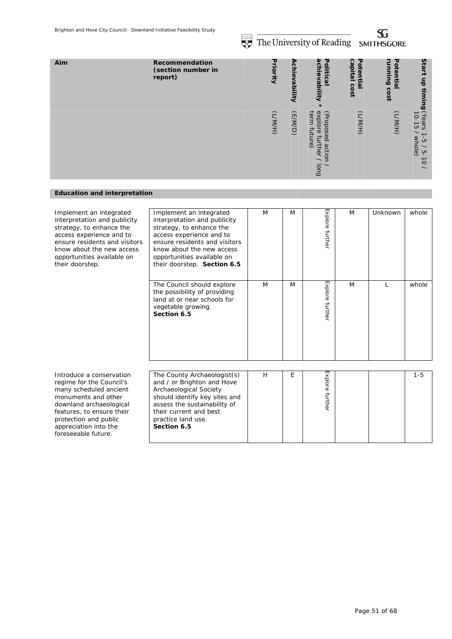**SOLUTE The University of Reading SMITHSGORE** 

| Aim | Recommendation<br>(section number in<br>report) | υ<br>riority | ₽<br><u>م</u><br>Ϊeν<br>id <sub>6</sub><br>Ē | മ<br>᠊ᠣ<br>Sin<br>olitical<br>$\mathbf{D}$<br>vability                                          | Ω<br>υ<br>ä<br>oten<br>Ξi<br>உ<br>င္ပ<br>$\overline{5}$ | τ<br>ă<br>Ø<br>الت<br>Ξ.<br>n,<br>င္တ<br>è | Start<br>등<br>Ë<br>ים                                                           |
|-----|-------------------------------------------------|--------------|----------------------------------------------|-------------------------------------------------------------------------------------------------|---------------------------------------------------------|--------------------------------------------|---------------------------------------------------------------------------------|
|     |                                                 | (H/N/        | (E/M/D)                                      | exp<br>ter<br>(Prop<br>O<br>$\Omega$<br>ဥ<br>$\sigma$<br>acti<br>₹<br>$\mathbb{Q}$<br>O<br>long | (H/W)                                                   | (H/M/                                      | Years<br>IO-15<br>whole<br>$\sigma$<br>ហ<br>$\circ$<br>$\overline{\phantom{0}}$ |

# *Education and interpretation*

| Implement an integrated<br>interpretation and publicity<br>strategy, to enhance the<br>access experience and to<br>ensure residents and visitors<br>know about the new access<br>opportunities available on<br>their doorstep.         | Implement an integrated<br>interpretation and publicity<br>strategy, to enhance the<br>access experience and to<br>ensure residents and visitors<br>know about the new access<br>opportunities available on<br>their doorstep. Section 6.5 | M | M | Explore further | M | Unknown | whole   |
|----------------------------------------------------------------------------------------------------------------------------------------------------------------------------------------------------------------------------------------|--------------------------------------------------------------------------------------------------------------------------------------------------------------------------------------------------------------------------------------------|---|---|-----------------|---|---------|---------|
|                                                                                                                                                                                                                                        | The Council should explore<br>the possibility of providing<br>land at or near schools for<br>vegetable growing.<br>Section 6.5                                                                                                             | M | M | Explore furthe  | M |         | whole   |
| Introduce a conservation<br>regime for the Council's<br>many scheduled ancient<br>monuments and other<br>downland archaeological<br>features, to ensure their<br>protection and public<br>appreciation into the<br>foreseeable future. | The County Archaeologist(s)<br>and / or Brighton and Hove<br>Archaeological Society<br>should identify key sites and<br>assess the sustainability of<br>their current and best<br>practice land use.<br>Section 6.5                        | H | Е | Explore further |   |         | $1 - 5$ |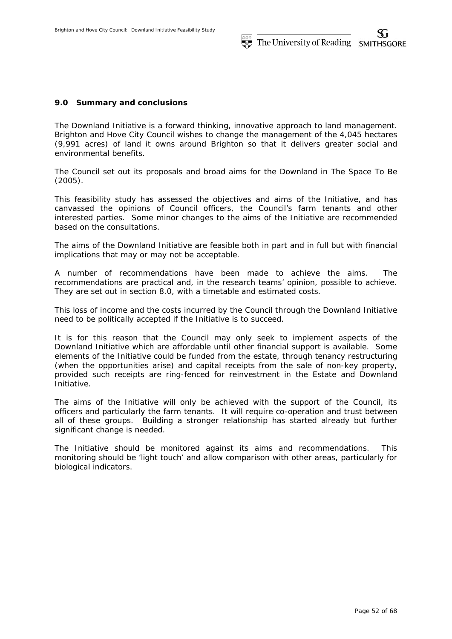### **9.0 Summary and conclusions**

The Downland Initiative is a forward thinking, innovative approach to land management. Brighton and Hove City Council wishes to change the management of the 4,045 hectares (9,991 acres) of land it owns around Brighton so that it delivers greater social and environmental benefits.

The Council set out its proposals and broad aims for the Downland in The Space To Be (2005).

This feasibility study has assessed the objectives and aims of the Initiative, and has canvassed the opinions of Council officers, the Council's farm tenants and other interested parties. Some minor changes to the aims of the Initiative are recommended based on the consultations.

The aims of the Downland Initiative are feasible both in part and in full but with financial implications that may or may not be acceptable.

A number of recommendations have been made to achieve the aims. The recommendations are practical and, in the research teams' opinion, possible to achieve. They are set out in section 8.0, with a timetable and estimated costs.

This loss of income and the costs incurred by the Council through the Downland Initiative need to be politically accepted if the Initiative is to succeed.

It is for this reason that the Council may only seek to implement aspects of the Downland Initiative which are affordable until other financial support is available. Some elements of the Initiative could be funded from the estate, through tenancy restructuring (when the opportunities arise) and capital receipts from the sale of non-key property, provided such receipts are ring-fenced for reinvestment in the Estate and Downland Initiative.

The aims of the Initiative will only be achieved with the support of the Council, its officers and particularly the farm tenants. It will require co-operation and trust between all of these groups. Building a stronger relationship has started already but further significant change is needed.

The Initiative should be monitored against its aims and recommendations. This monitoring should be 'light touch' and allow comparison with other areas, particularly for biological indicators.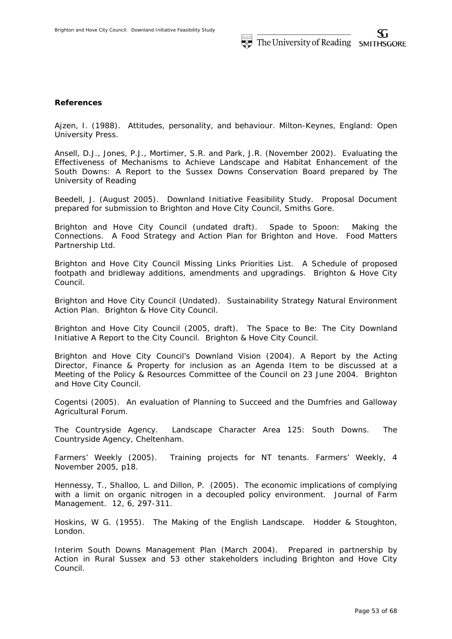## **References**

Ajzen, I. (1988). Attitudes, personality, and behaviour. Milton-Keynes, England: Open University Press.

Ansell, D.J., Jones, P.J., Mortimer, S.R. and Park, J.R. (November 2002). Evaluating the Effectiveness of Mechanisms to Achieve Landscape and Habitat Enhancement of the South Downs: A Report to the Sussex Downs Conservation Board prepared by The University of Reading

Beedell, J. (August 2005). Downland Initiative Feasibility Study. Proposal Document prepared for submission to Brighton and Hove City Council, Smiths Gore.

Brighton and Hove City Council (undated draft). Spade to Spoon: Making the Connections. A Food Strategy and Action Plan for Brighton and Hove. Food Matters Partnership Ltd.

Brighton and Hove City Council Missing Links Priorities List. A Schedule of proposed footpath and bridleway additions, amendments and upgradings. Brighton & Hove City Council.

Brighton and Hove City Council (Undated). Sustainability Strategy Natural Environment Action Plan. Brighton & Hove City Council.

Brighton and Hove City Council (2005, draft). The Space to Be: The City Downland Initiative A Report to the City Council. Brighton & Hove City Council.

Brighton and Hove City Council's Downland Vision (2004). A Report by the Acting Director, Finance & Property for inclusion as an Agenda Item to be discussed at a Meeting of the Policy & Resources Committee of the Council on 23 June 2004. Brighton and Hove City Council.

Cogentsi (2005). An evaluation of Planning to Succeed and the Dumfries and Galloway Agricultural Forum.

The Countryside Agency. Landscape Character Area 125: South Downs. The Countryside Agency, Cheltenham.

Farmers' Weekly (2005). Training projects for NT tenants. Farmers' Weekly, 4 November 2005, p18.

Hennessy, T., Shalloo, L. and Dillon, P. (2005). The economic implications of complying with a limit on organic nitrogen in a decoupled policy environment. Journal of Farm Management. 12, 6, 297-311.

Hoskins, W G. (1955). The Making of the English Landscape. Hodder & Stoughton, London.

Interim South Downs Management Plan (March 2004). Prepared in partnership by Action in Rural Sussex and 53 other stakeholders including Brighton and Hove City Council.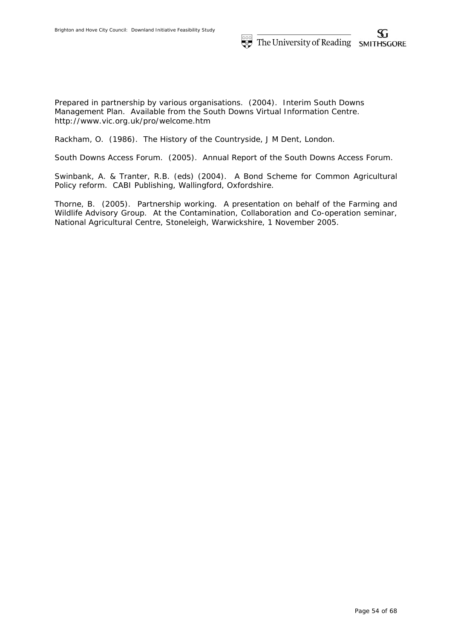Prepared in partnership by various organisations. (2004). Interim South Downs Management Plan. Available from the South Downs Virtual Information Centre. http://www.vic.org.uk/pro/welcome.htm

Rackham, O. (1986). The History of the Countryside, J M Dent, London.

South Downs Access Forum. (2005). Annual Report of the South Downs Access Forum.

Swinbank, A. & Tranter, R.B. (eds) (2004). A Bond Scheme for Common Agricultural Policy reform. CABI Publishing, Wallingford, Oxfordshire.

Thorne, B. (2005). Partnership working. A presentation on behalf of the Farming and Wildlife Advisory Group. At the Contamination, Collaboration and Co-operation seminar, National Agricultural Centre, Stoneleigh, Warwickshire, 1 November 2005.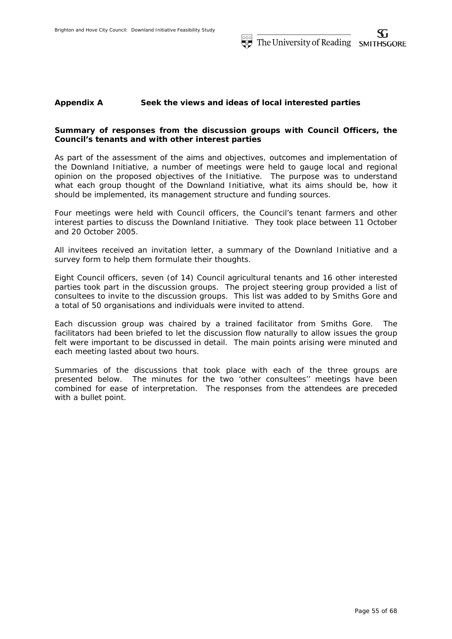# **Appendix A Seek the views and ideas of local interested parties**

# **Summary of responses from the discussion groups with Council Officers, the Council's tenants and with other interest parties**

As part of the assessment of the aims and objectives, outcomes and implementation of the Downland Initiative, a number of meetings were held to gauge local and regional opinion on the proposed objectives of the Initiative. The purpose was to understand what each group thought of the Downland Initiative, what its aims should be, how it should be implemented, its management structure and funding sources.

Four meetings were held with Council officers, the Council's tenant farmers and other interest parties to discuss the Downland Initiative. They took place between 11 October and 20 October 2005.

All invitees received an invitation letter, a summary of the Downland Initiative and a survey form to help them formulate their thoughts.

Eight Council officers, seven (of 14) Council agricultural tenants and 16 other interested parties took part in the discussion groups. The project steering group provided a list of consultees to invite to the discussion groups. This list was added to by Smiths Gore and a total of 50 organisations and individuals were invited to attend.

Each discussion group was chaired by a trained facilitator from Smiths Gore. The facilitators had been briefed to let the discussion flow naturally to allow issues the group felt were important to be discussed in detail. The main points arising were minuted and each meeting lasted about two hours.

Summaries of the discussions that took place with each of the three groups are presented below. The minutes for the two 'other consultees'' meetings have been combined for ease of interpretation. The responses from the attendees are preceded with a bullet point.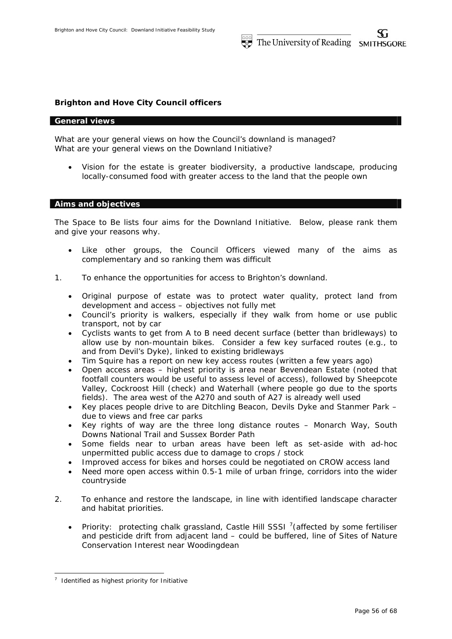## **Brighton and Hove City Council officers**

### *General views*

What are your general views on how the Council's downland is managed? What are your general views on the Downland Initiative?

 Vision for the estate is greater biodiversity, a productive landscape, producing locally-consumed food with greater access to the land that the people own

### *Aims and objectives*

The Space to Be lists four aims for the Downland Initiative. Below, please rank them and give your reasons why.

- Like other groups, the Council Officers viewed many of the aims as complementary and so ranking them was difficult
- 1. To enhance the opportunities for access to Brighton's downland.
	- Original purpose of estate was to protect water quality, protect land from development and access – objectives not fully met
	- Council's priority is walkers, especially if they walk from home or use public transport, not by car
	- Cyclists wants to get from A to B need decent surface (better than bridleways) to allow use by non-mountain bikes. Consider a few key surfaced routes (e.g., to and from Devil's Dyke), linked to existing bridleways
	- Tim Squire has a report on new key access routes (written a few years ago)
	- Open access areas highest priority is area near Bevendean Estate (noted that footfall counters would be useful to assess level of access), followed by Sheepcote Valley, Cockroost Hill (check) and Waterhall (where people go due to the sports fields). The area west of the A270 and south of A27 is already well used
	- Key places people drive to are Ditchling Beacon, Devils Dyke and Stanmer Park due to views and free car parks
	- Key rights of way are the three long distance routes Monarch Way, South Downs National Trail and Sussex Border Path
	- Some fields near to urban areas have been left as set-aside with ad-hoc unpermitted public access due to damage to crops / stock
	- Improved access for bikes and horses could be negotiated on CROW access land
	- Need more open access within 0.5-1 mile of urban fringe, corridors into the wider countryside
- 2. To enhance and restore the landscape, in line with identified landscape character and habitat priorities.
	- Priority: protecting chalk grassland, Castle Hill SSSI  $^7$ (affected by some fertiliser and pesticide drift from adjacent land – could be buffered, line of Sites of Nature Conservation Interest near Woodingdean

-

 $<sup>7</sup>$  Identified as highest priority for Initiative</sup>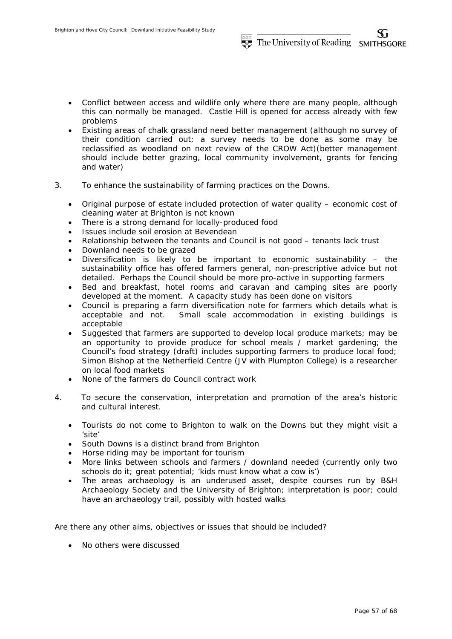- Conflict between access and wildlife only where there are many people, although this can normally be managed. Castle Hill is opened for access already with few problems
- Existing areas of chalk grassland need better management (although no survey of their condition carried out; a survey needs to be done as some may be reclassified as woodland on next review of the CROW Act)(better management should include better grazing, local community involvement, grants for fencing and water)
- 3. To enhance the sustainability of farming practices on the Downs.
	- Original purpose of estate included protection of water quality economic cost of cleaning water at Brighton is not known
	- There is a strong demand for locally-produced food
	- Issues include soil erosion at Bevendean
	- Relationship between the tenants and Council is not good tenants lack trust
	- Downland needs to be grazed
	- Diversification is likely to be important to economic sustainability the sustainability office has offered farmers general, non-prescriptive advice but not detailed. Perhaps the Council should be more pro-active in supporting farmers
	- Bed and breakfast, hotel rooms and caravan and camping sites are poorly developed at the moment. A capacity study has been done on visitors
	- Council is preparing a farm diversification note for farmers which details what is acceptable and not. Small scale accommodation in existing buildings is acceptable
	- Suggested that farmers are supported to develop local produce markets; may be an opportunity to provide produce for school meals / market gardening; the Council's food strategy (draft) includes supporting farmers to produce local food; Simon Bishop at the Netherfield Centre (JV with Plumpton College) is a researcher on local food markets
	- None of the farmers do Council contract work
- 4. To secure the conservation, interpretation and promotion of the area's historic and cultural interest.
	- Tourists do not come to Brighton to walk on the Downs but they might visit a 'site'
	- South Downs is a distinct brand from Brighton
	- Horse riding may be important for tourism
	- More links between schools and farmers / downland needed (currently only two schools do it; great potential; 'kids must know what a cow is')
	- The areas archaeology is an underused asset, despite courses run by B&H Archaeology Society and the University of Brighton; interpretation is poor; could have an archaeology trail, possibly with hosted walks

Are there any other aims, objectives or issues that should be included?

• No others were discussed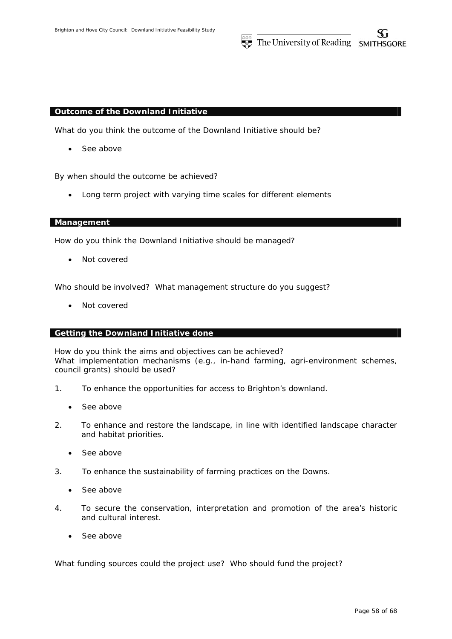### *Outcome of the Downland Initiative*

What do you think the outcome of the Downland Initiative should be?

• See above

By when should the outcome be achieved?

Long term project with varying time scales for different elements

# *Management*

How do you think the Downland Initiative should be managed?

Not covered

Who should be involved? What management structure do you suggest?

• Not covered

# *Getting the Downland Initiative done*

How do you think the aims and objectives can be achieved? What implementation mechanisms (e.g., in-hand farming, agri-environment schemes, council grants) should be used?

- 1. To enhance the opportunities for access to Brighton's downland.
	- See above
- 2. To enhance and restore the landscape, in line with identified landscape character and habitat priorities.
	- See above
- 3. To enhance the sustainability of farming practices on the Downs.
	- See above
- 4. To secure the conservation, interpretation and promotion of the area's historic and cultural interest.
	- See above

What funding sources could the project use? Who should fund the project?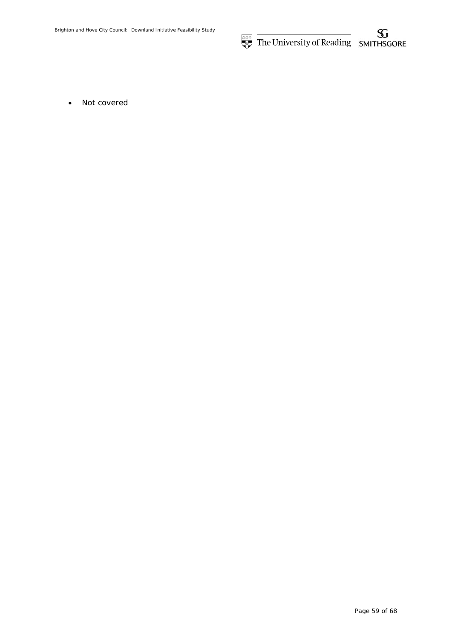The University of Reading SMITHSGORE

• Not covered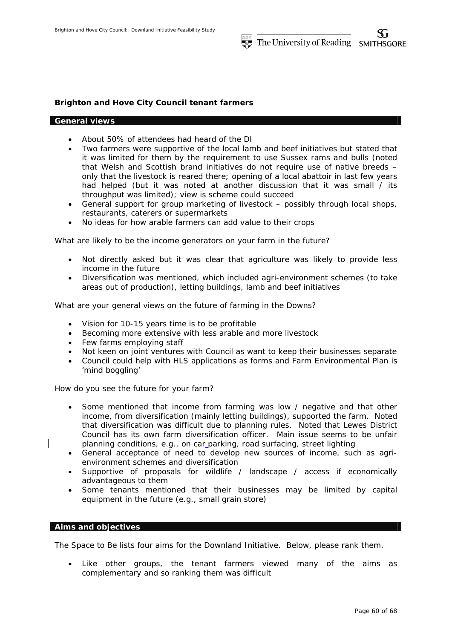# **Brighton and Hove City Council tenant farmers**

### *General views*

- About 50% of attendees had heard of the DI
- Two farmers were supportive of the local lamb and beef initiatives but stated that it was limited for them by the requirement to use Sussex rams and bulls (noted that Welsh and Scottish brand initiatives do not require use of native breeds – only that the livestock is reared there; opening of a local abattoir in last few years had helped (but it was noted at another discussion that it was small / its throughput was limited); view is scheme could succeed
- General support for group marketing of livestock possibly through local shops, restaurants, caterers or supermarkets
- No ideas for how arable farmers can add value to their crops

What are likely to be the income generators on your farm in the future?

- Not directly asked but it was clear that agriculture was likely to provide less income in the future
- Diversification was mentioned, which included agri-environment schemes (to take areas out of production), letting buildings, lamb and beef initiatives

What are your general views on the future of farming in the Downs?

- Vision for 10-15 years time is to be profitable
- Becoming more extensive with less arable and more livestock
- Few farms employing staff
- Not keen on joint ventures with Council as want to keep their businesses separate
- Council could help with HLS applications as forms and Farm Environmental Plan is 'mind boggling'

How do you see the future for your farm?

- Some mentioned that income from farming was low / negative and that other income, from diversification (mainly letting buildings), supported the farm. Noted that diversification was difficult due to planning rules. Noted that Lewes District Council has its own farm diversification officer. Main issue seems to be unfair planning conditions, e.g., on car parking, road surfacing, street lighting
- General acceptance of need to develop new sources of income, such as agrienvironment schemes and diversification
- Supportive of proposals for wildlife / landscape / access if economically advantageous to them
- Some tenants mentioned that their businesses may be limited by capital equipment in the future (e.g., small grain store)

# *Aims and objectives*

The Space to Be lists four aims for the Downland Initiative. Below, please rank them.

 Like other groups, the tenant farmers viewed many of the aims as complementary and so ranking them was difficult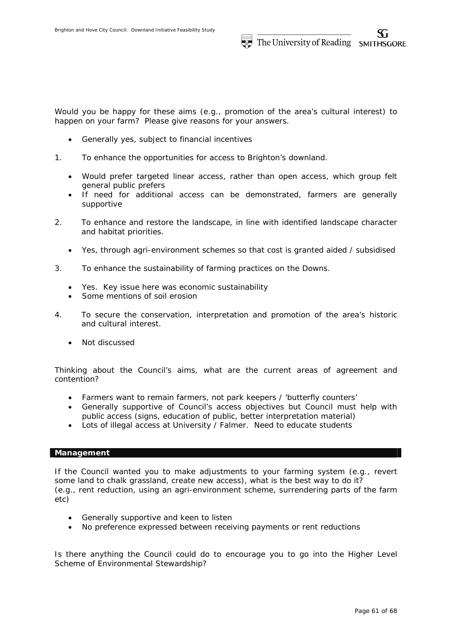Would you be happy for these aims (e.g., promotion of the area's cultural interest) to happen on your farm? Please give reasons for your answers.

- Generally yes, subject to financial incentives
- 1. To enhance the opportunities for access to Brighton's downland.
	- Would prefer targeted linear access, rather than open access, which group felt general public prefers
	- If need for additional access can be demonstrated, farmers are generally supportive
- 2. To enhance and restore the landscape, in line with identified landscape character and habitat priorities.
	- Yes, through agri-environment schemes so that cost is granted aided / subsidised
- 3. To enhance the sustainability of farming practices on the Downs.
	- Yes. Key issue here was economic sustainability
	- Some mentions of soil erosion
- 4. To secure the conservation, interpretation and promotion of the area's historic and cultural interest.
	- Not discussed

Thinking about the Council's aims, what are the current areas of agreement and contention?

- Farmers want to remain farmers, not park keepers / 'butterfly counters'
- Generally supportive of Council's access objectives but Council must help with public access (signs, education of public, better interpretation material)
- Lots of illegal access at University / Falmer. Need to educate students

## *Management*

If the Council wanted you to make adjustments to your farming system (e.g., revert some land to chalk grassland, create new access), what is the best way to do it? (e.g., rent reduction, using an agri-environment scheme, surrendering parts of the farm etc)

- Generally supportive and keen to listen
- No preference expressed between receiving payments or rent reductions

Is there anything the Council could do to encourage you to go into the Higher Level Scheme of Environmental Stewardship?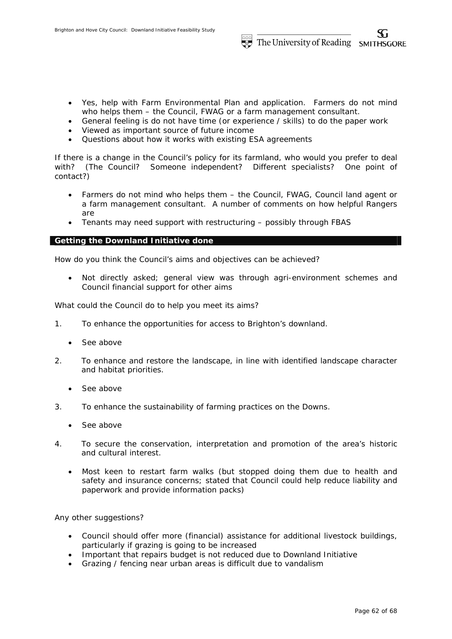- Yes, help with Farm Environmental Plan and application. Farmers do not mind who helps them – the Council, FWAG or a farm management consultant.
- General feeling is do not have time (or experience / skills) to do the paper work
- Viewed as important source of future income
- Questions about how it works with existing ESA agreements

If there is a change in the Council's policy for its farmland, who would you prefer to deal with? (The Council? Someone independent? Different specialists? One point of contact?)

- Farmers do not mind who helps them the Council, FWAG, Council land agent or a farm management consultant. A number of comments on how helpful Rangers are
- Tenants may need support with restructuring possibly through FBAS

## *Getting the Downland Initiative done*

How do you think the Council's aims and objectives can be achieved?

 Not directly asked; general view was through agri-environment schemes and Council financial support for other aims

What could the Council do to help you meet its aims?

- 1. To enhance the opportunities for access to Brighton's downland.
	- See above
- 2. To enhance and restore the landscape, in line with identified landscape character and habitat priorities.
	- See above
- 3. To enhance the sustainability of farming practices on the Downs.
	- See above
- 4. To secure the conservation, interpretation and promotion of the area's historic and cultural interest.
	- Most keen to restart farm walks (but stopped doing them due to health and safety and insurance concerns; stated that Council could help reduce liability and paperwork and provide information packs)

Any other suggestions?

- Council should offer more (financial) assistance for additional livestock buildings, particularly if grazing is going to be increased
- Important that repairs budget is not reduced due to Downland Initiative
- Grazing / fencing near urban areas is difficult due to vandalism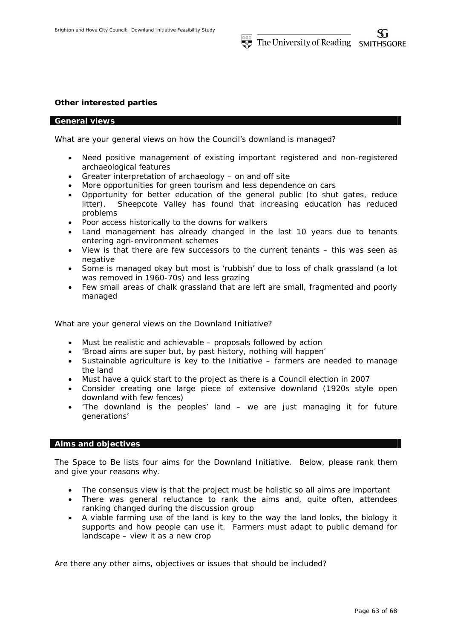### **Other interested parties**

### *General views*

What are your general views on how the Council's downland is managed?

- Need positive management of existing important registered and non-registered archaeological features
- Greater interpretation of archaeology on and off site
- More opportunities for green tourism and less dependence on cars
- Opportunity for better education of the general public (to shut gates, reduce litter). Sheepcote Valley has found that increasing education has reduced problems
- Poor access historically to the downs for walkers
- Land management has already changed in the last 10 years due to tenants entering agri-environment schemes
- View is that there are few successors to the current tenants this was seen as negative
- Some is managed okay but most is 'rubbish' due to loss of chalk grassland (a lot was removed in 1960-70s) and less grazing
- Few small areas of chalk grassland that are left are small, fragmented and poorly managed

What are your general views on the Downland Initiative?

- Must be realistic and achievable proposals followed by action
- 'Broad aims are super but, by past history, nothing will happen'
- Sustainable agriculture is key to the Initiative farmers are needed to manage the land
- Must have a quick start to the project as there is a Council election in 2007
- Consider creating one large piece of extensive downland (1920s style open downland with few fences)
- 'The downland is the peoples' land we are just managing it for future generations'

### *Aims and objectives*

*The Space to Be* lists four aims for the Downland Initiative. Below, please rank them and give your reasons why.

- The consensus view is that the project must be holistic so all aims are important
- There was general reluctance to rank the aims and, quite often, attendees ranking changed during the discussion group
- A viable farming use of the land is key to the way the land looks, the biology it supports and how people can use it. Farmers must adapt to public demand for landscape – view it as a new crop

Are there any other aims, objectives or issues that should be included?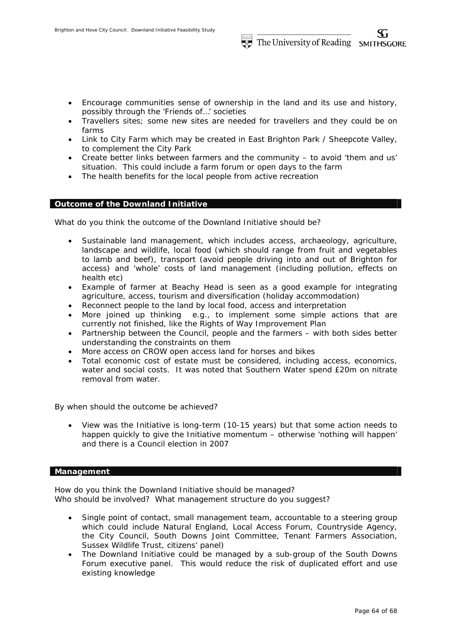- Encourage communities sense of ownership in the land and its use and history, possibly through the 'Friends of…' societies
- Travellers sites; some new sites are needed for travellers and they could be on farms
- Link to City Farm which may be created in East Brighton Park / Sheepcote Valley, to complement the City Park
- Create better links between farmers and the community to avoid 'them and us' situation. This could include a farm forum or open days to the farm
- The health benefits for the local people from active recreation

## *Outcome of the Downland Initiative*

What do you think the outcome of the Downland Initiative should be?

- Sustainable land management, which includes access, archaeology, agriculture, landscape and wildlife, local food (which should range from fruit and vegetables to lamb and beef), transport (avoid people driving into and out of Brighton for access) and 'whole' costs of land management (including pollution, effects on health etc)
- Example of farmer at Beachy Head is seen as a good example for integrating agriculture, access, tourism and diversification (holiday accommodation)
- Reconnect people to the land by local food, access and interpretation
- More joined up thinking e.g., to implement some simple actions that are currently not finished, like the Rights of Way Improvement Plan
- Partnership between the Council, people and the farmers with both sides better understanding the constraints on them
- More access on CROW open access land for horses and bikes
- Total economic cost of estate must be considered, including access, economics, water and social costs. It was noted that Southern Water spend £20m on nitrate removal from water.

By when should the outcome be achieved?

 View was the Initiative is long-term (10-15 years) but that some action needs to happen quickly to give the Initiative momentum – otherwise 'nothing will happen' and there is a Council election in 2007

## *Management*

How do you think the Downland Initiative should be managed? Who should be involved? What management structure do you suggest?

- Single point of contact, small management team, accountable to a steering group which could include Natural England, Local Access Forum, Countryside Agency, the City Council, South Downs Joint Committee, Tenant Farmers Association, Sussex Wildlife Trust, citizens' panel)
- The Downland Initiative could be managed by a sub-group of the South Downs Forum executive panel. This would reduce the risk of duplicated effort and use existing knowledge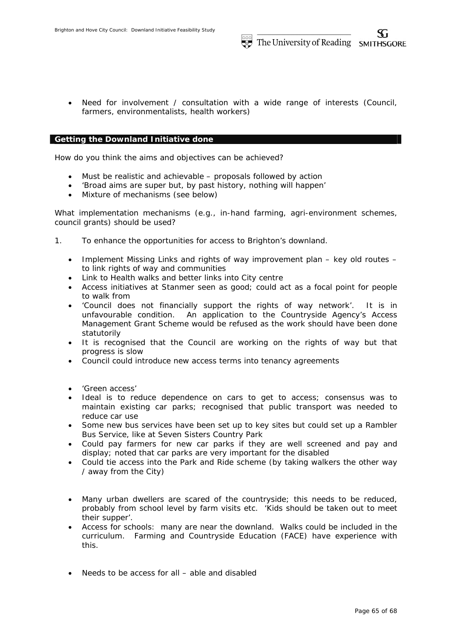Need for involvement / consultation with a wide range of interests (Council, farmers, environmentalists, health workers)

## *Getting the Downland Initiative done*

How do you think the aims and objectives can be achieved?

- Must be realistic and achievable proposals followed by action
- 'Broad aims are super but, by past history, nothing will happen'
- Mixture of mechanisms (see below)

What implementation mechanisms (e.g., in-hand farming, agri-environment schemes, council grants) should be used?

- 1. To enhance the opportunities for access to Brighton's downland.
	- Implement Missing Links and rights of way improvement plan key old routes to link rights of way and communities
	- Link to Health walks and better links into City centre
	- Access initiatives at Stanmer seen as good; could act as a focal point for people to walk from
	- 'Council does not financially support the rights of way network'. It is in unfavourable condition. An application to the Countryside Agency's Access Management Grant Scheme would be refused as the work should have been done statutorily
	- It is recognised that the Council are working on the rights of way but that progress is slow
	- Council could introduce new access terms into tenancy agreements
	- 'Green access'
	- Ideal is to reduce dependence on cars to get to access; consensus was to maintain existing car parks; recognised that public transport was needed to reduce car use
	- Some new bus services have been set up to key sites but could set up a Rambler Bus Service, like at Seven Sisters Country Park
	- Could pay farmers for new car parks if they are well screened and pay and display; noted that car parks are very important for the disabled
	- Could tie access into the Park and Ride scheme (by taking walkers the other way / away from the City)
	- Many urban dwellers are scared of the countryside; this needs to be reduced, probably from school level by farm visits etc. 'Kids should be taken out to meet their supper'.
	- Access for schools: many are near the downland. Walks could be included in the curriculum. Farming and Countryside Education (FACE) have experience with this.
	- Needs to be access for all able and disabled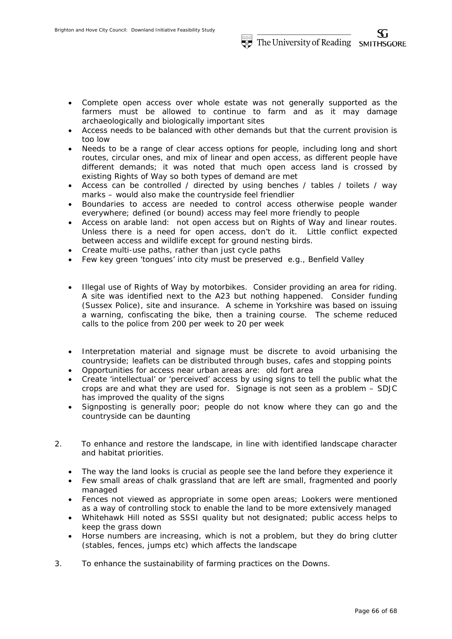- Complete open access over whole estate was not generally supported as the farmers must be allowed to continue to farm and as it may damage archaeologically and biologically important sites
- Access needs to be balanced with other demands but that the current provision is too low
- Needs to be a range of clear access options for people, including long and short routes, circular ones, and mix of linear and open access, as different people have different demands; it was noted that much open access land is crossed by existing Rights of Way so both types of demand are met
- Access can be controlled / directed by using benches / tables / toilets / way marks – would also make the countryside feel friendlier
- Boundaries to access are needed to control access otherwise people wander everywhere; defined (or bound) access may feel more friendly to people
- Access on arable land: not open access but on Rights of Way and linear routes. Unless there is a need for open access, don't do it. Little conflict expected between access and wildlife except for ground nesting birds.
- Create multi-use paths, rather than just cycle paths
- Few key green 'tongues' into city must be preserved e.g., Benfield Valley
- Illegal use of Rights of Way by motorbikes. Consider providing an area for riding. A site was identified next to the A23 but nothing happened. Consider funding (Sussex Police), site and insurance. A scheme in Yorkshire was based on issuing a warning, confiscating the bike, then a training course. The scheme reduced calls to the police from 200 per week to 20 per week
- Interpretation material and signage must be discrete to avoid urbanising the countryside; leaflets can be distributed through buses, cafes and stopping points
- Opportunities for access near urban areas are: old fort area
- Create 'intellectual' or 'perceived' access by using signs to tell the public what the crops are and what they are used for. Signage is not seen as a problem – SDJC has improved the quality of the signs
- Signposting is generally poor; people do not know where they can go and the countryside can be daunting
- 2. To enhance and restore the landscape, in line with identified landscape character and habitat priorities.
	- The way the land looks is crucial as people see the land before they experience it
	- Few small areas of chalk grassland that are left are small, fragmented and poorly managed
	- Fences not viewed as appropriate in some open areas; Lookers were mentioned as a way of controlling stock to enable the land to be more extensively managed
	- Whitehawk Hill noted as SSSI quality but not designated; public access helps to keep the grass down
	- Horse numbers are increasing, which is not a problem, but they do bring clutter (stables, fences, jumps etc) which affects the landscape
- 3. To enhance the sustainability of farming practices on the Downs.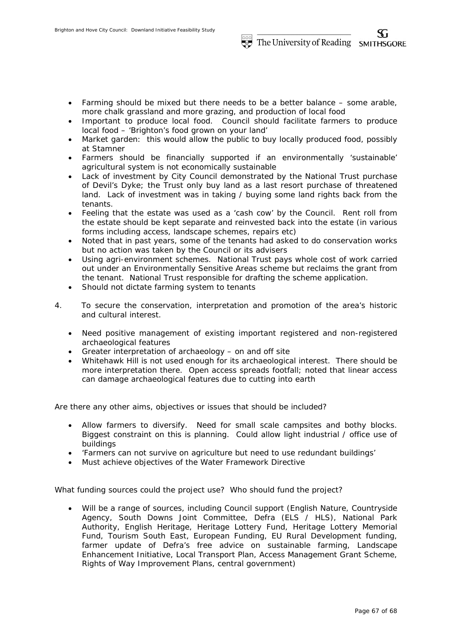- Farming should be mixed but there needs to be a better balance some arable, more chalk grassland and more grazing, and production of local food
- Important to produce local food. Council should facilitate farmers to produce local food – 'Brighton's food grown on your land'
- Market garden: this would allow the public to buy locally produced food, possibly at Stamner
- Farmers should be financially supported if an environmentally 'sustainable' agricultural system is not economically sustainable
- Lack of investment by City Council demonstrated by the National Trust purchase of Devil's Dyke; the Trust only buy land as a last resort purchase of threatened land. Lack of investment was in taking / buying some land rights back from the tenants.
- Feeling that the estate was used as a 'cash cow' by the Council. Rent roll from the estate should be kept separate and reinvested back into the estate (in various forms including access, landscape schemes, repairs etc)
- Noted that in past years, some of the tenants had asked to do conservation works but no action was taken by the Council or its advisers
- Using agri-environment schemes. National Trust pays whole cost of work carried out under an Environmentally Sensitive Areas scheme but reclaims the grant from the tenant. National Trust responsible for drafting the scheme application.
- Should not dictate farming system to tenants
- 4. To secure the conservation, interpretation and promotion of the area's historic and cultural interest.
	- Need positive management of existing important registered and non-registered archaeological features
	- Greater interpretation of archaeology on and off site
	- Whitehawk Hill is not used enough for its archaeological interest. There should be more interpretation there. Open access spreads footfall; noted that linear access can damage archaeological features due to cutting into earth

Are there any other aims, objectives or issues that should be included?

- Allow farmers to diversify. Need for small scale campsites and bothy blocks. Biggest constraint on this is planning. Could allow light industrial / office use of buildings
- 'Farmers can not survive on agriculture but need to use redundant buildings'
- Must achieve objectives of the Water Framework Directive

What funding sources could the project use? Who should fund the project?

 Will be a range of sources, including Council support (English Nature, Countryside Agency, South Downs Joint Committee, Defra (ELS / HLS), National Park Authority, English Heritage, Heritage Lottery Fund, Heritage Lottery Memorial Fund, Tourism South East, European Funding, EU Rural Development funding, farmer update of Defra's free advice on sustainable farming, Landscape Enhancement Initiative, Local Transport Plan, Access Management Grant Scheme, Rights of Way Improvement Plans, central government)